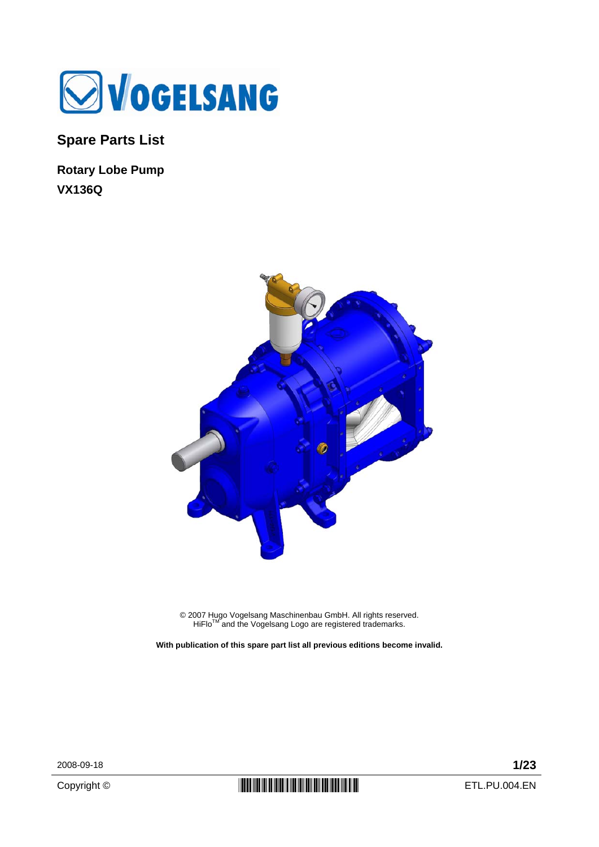

**Spare Parts List** 

**Rotary Lobe Pump VX136Q** 



© 2007 Hugo Vogelsang Maschinenbau GmbH. All rights reserved.<br>HiFlo™ and the Vogelsang Logo are registered trademarks.

**With publication of this spare part list all previous editions become invalid.** 

2008-09-18 **1/23**

Copyright ©  $\begin{array}{c|c} \textbf{[}} \textbf{[}} \textbf{[}} \textbf{[}} \textbf{[}} \textbf{[}} \textbf{[}} \textbf{[}} \textbf{[}} \textbf{[}} \textbf{[}} \textbf{[}} \textbf{[}} \textbf{[}} \textbf{[}} \textbf{[}} \textbf{[}} \textbf{[}} \textbf{[}} \textbf{[}} \textbf{[}} \textbf{[}} \textbf{[}} \textbf{[}} \textbf{[}} \textbf{[}} \textbf{[}} \textbf{[}} \textbf{[}} \textbf{[}} \textbf{[}} \textbf{[}} \textbf{[}} \text$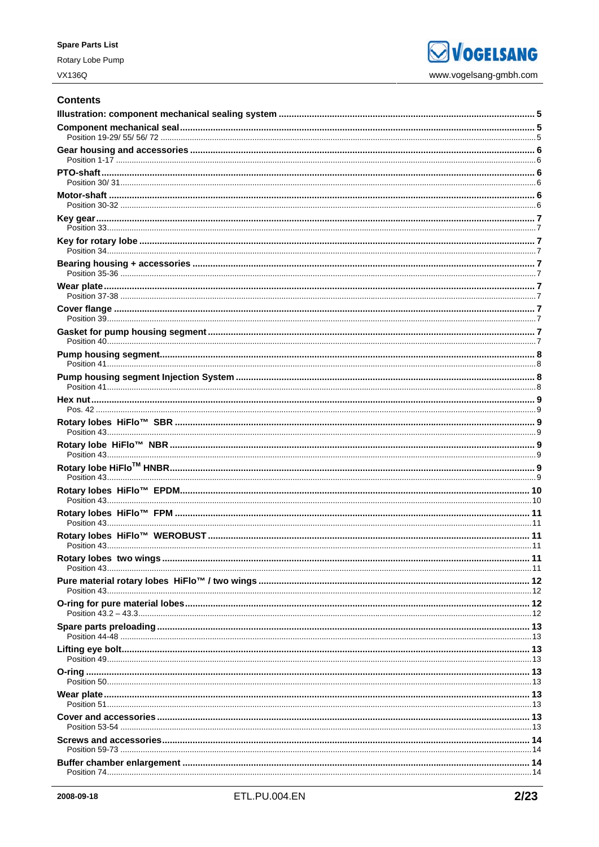Rotary Lobe Pump

**SVOGELSANG** www.vogelsang-gmbh.com

### **Contents**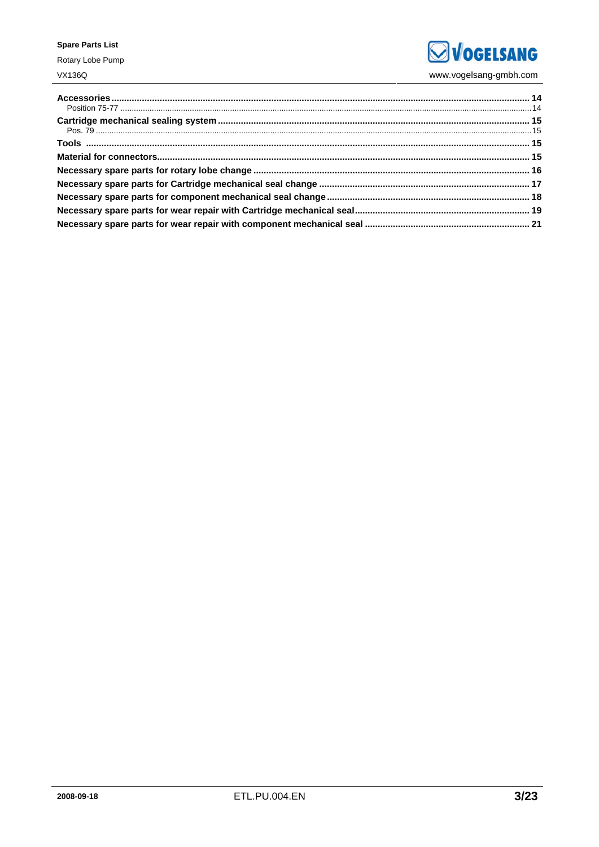### **Spare Parts List**

Rotary Lobe Pump **VX136Q** 

**SVOGELSANG** www.vogelsang-gmbh.com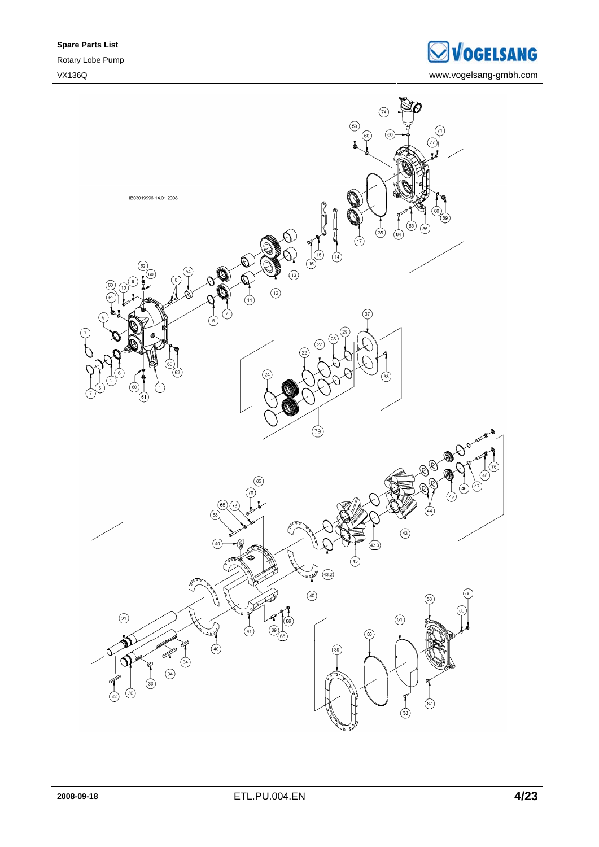**SVOGELSANG** VX136Q www.vogelsang-gmbh.com

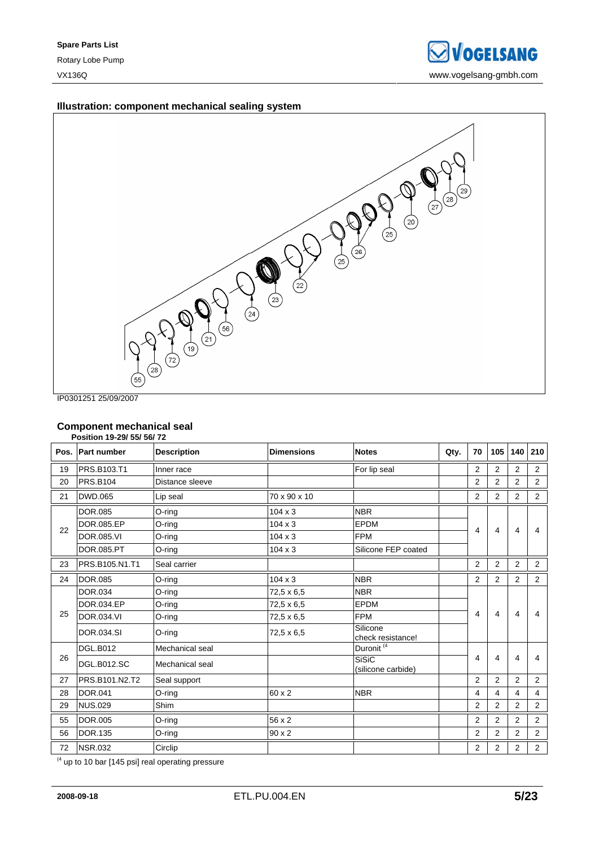### **Illustration: component mechanical sealing system**



IP0301251 25/09/2007

### **Component mechanical seal**

|    | Position 19-29/ 55/ 56/ 72 |                    |                   |                                    |      |                |                |                |                |
|----|----------------------------|--------------------|-------------------|------------------------------------|------|----------------|----------------|----------------|----------------|
|    | Pos. Part number           | <b>Description</b> | <b>Dimensions</b> | <b>Notes</b>                       | Qty. | 70             | 105            | 140            | 210            |
| 19 | PRS.B103.T1                | Inner race         |                   | For lip seal                       |      | 2              | 2              | 2              | $\overline{2}$ |
| 20 | <b>PRS.B104</b>            | Distance sleeve    |                   |                                    |      | 2              | $\overline{2}$ | $\overline{2}$ | 2              |
| 21 | DWD.065                    | Lip seal           | 70 x 90 x 10      |                                    |      | 2              | $\overline{2}$ | $\overline{2}$ | 2              |
|    | DOR.085                    | O-ring             | $104 \times 3$    | <b>NBR</b>                         |      |                |                |                |                |
| 22 | DOR.085.EP                 | O-ring             | $104 \times 3$    | <b>EPDM</b>                        |      | 4              | 4              | 4              | 4              |
|    | DOR.085.VI                 | O-ring             | $104 \times 3$    | <b>FPM</b>                         |      |                |                |                |                |
|    | DOR.085.PT                 | O-ring             | $104 \times 3$    | Silicone FEP coated                |      |                |                |                |                |
| 23 | PRS.B105.N1.T1             | Seal carrier       |                   |                                    |      | $\overline{2}$ | $\overline{2}$ | 2              | 2              |
| 24 | <b>DOR.085</b>             | O-ring             | $104 \times 3$    | <b>NBR</b>                         |      | $\overline{2}$ | $\overline{2}$ | $\overline{2}$ | $\overline{2}$ |
|    | DOR.034                    | O-ring             | 72,5 x 6,5        | <b>NBR</b>                         |      |                |                |                |                |
|    | DOR.034.EP                 | O-ring             | 72,5 x 6,5        | EPDM                               |      |                |                |                |                |
| 25 | DOR.034.VI                 | O-ring             | 72,5 x 6,5        | <b>FPM</b>                         |      | 4              | 4              | 4              | 4              |
|    | DOR.034.SI                 | O-ring             | 72,5 x 6,5        | Silicone<br>check resistance!      |      |                |                |                |                |
|    | <b>DGL.B012</b>            | Mechanical seal    |                   | Duronit <sup>(4)</sup>             |      |                |                |                |                |
| 26 | <b>DGL.B012.SC</b>         | Mechanical seal    |                   | <b>SiSiC</b><br>(silicone carbide) |      | 4              | 4              | 4              | 4              |
| 27 | PRS.B101.N2.T2             | Seal support       |                   |                                    |      | 2              | 2              | 2              | 2              |
| 28 | <b>DOR.041</b>             | O-ring             | 60 x 2            | <b>NBR</b>                         |      | 4              | 4              | 4              | 4              |
| 29 | <b>NUS.029</b>             | Shim               |                   |                                    |      | 2              | $\overline{2}$ | $\overline{2}$ | 2              |
| 55 | <b>DOR.005</b>             | O-ring             | 56 x 2            |                                    |      | $\overline{2}$ | $\overline{2}$ | $\overline{2}$ | 2              |
| 56 | <b>DOR.135</b>             | O-ring             | 90 x 2            |                                    |      | 2              | 2              | 2              | $\overline{2}$ |
| 72 | <b>NSR.032</b>             | Circlip            |                   |                                    |      | 2              | 2              | 2              | $\overline{2}$ |

 $(4 \text{ up to 10 bar } [145 \text{ psi}] \text{ real operating pressure})$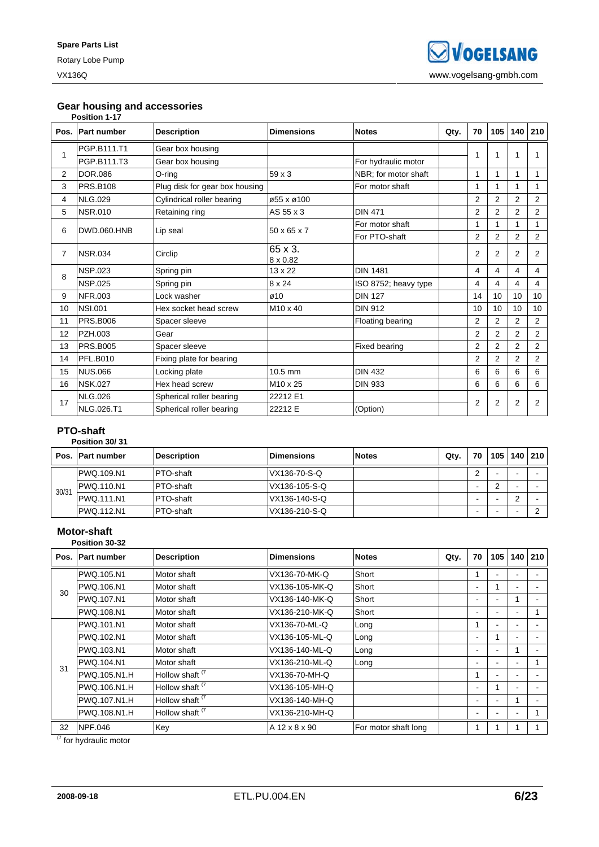### **Gear housing and accessories**

|                | Position 1-17      |                                |                            |                      |      |                |                |                |                |
|----------------|--------------------|--------------------------------|----------------------------|----------------------|------|----------------|----------------|----------------|----------------|
| Pos.           | <b>Part number</b> | <b>Description</b>             | <b>Dimensions</b>          | <b>Notes</b>         | Qty. | 70             | 105            | 140            | 210            |
|                | PGP.B111.T1        | Gear box housing               |                            |                      |      | 1              |                | 1              |                |
|                | PGP.B111.T3        | Gear box housing               |                            | For hydraulic motor  |      |                |                |                |                |
| $\overline{2}$ | <b>DOR.086</b>     | O-ring                         | 59 x 3                     | NBR; for motor shaft |      | 1              | 1              | 1              | 1              |
| 3              | <b>PRS.B108</b>    | Plug disk for gear box housing |                            | For motor shaft      |      | 1              |                | 1              | 1              |
| 4              | <b>NLG.029</b>     | Cylindrical roller bearing     | ø55 x ø100                 |                      |      | 2              | $\overline{2}$ | $\overline{2}$ | $\overline{2}$ |
| 5              | <b>NSR.010</b>     | Retaining ring                 | AS 55 x 3                  | <b>DIN 471</b>       |      | $\overline{2}$ | $\overline{2}$ | $\overline{2}$ | 2              |
| 6              | DWD.060.HNB        |                                | $50 \times 65 \times 7$    | For motor shaft      |      | 1              |                | 1              |                |
|                |                    | Lip seal                       |                            | For PTO-shaft        |      | $\overline{2}$ | 2              | 2              | 2              |
| 7              | <b>NSR.034</b>     | Circlip                        | 65 x 3.<br>$8 \times 0.82$ |                      |      | $\overline{2}$ | 2              | 2              | 2              |
| 8              | <b>NSP.023</b>     | Spring pin                     | $13 \times 22$             | <b>DIN 1481</b>      |      | 4              | 4              | $\overline{4}$ | 4              |
|                | <b>NSP.025</b>     | Spring pin                     | 8 x 24                     | ISO 8752; heavy type |      | 4              | 4              | 4              | $\overline{4}$ |
| 9              | <b>NFR.003</b>     | Lock washer                    | ø10                        | <b>DIN 127</b>       |      | 14             | 10             | 10             | 10             |
| 10             | <b>NSI.001</b>     | Hex socket head screw          | $M10 \times 40$            | <b>DIN 912</b>       |      | 10             | 10             | 10             | 10             |
| 11             | <b>PRS.B006</b>    | Spacer sleeve                  |                            | Floating bearing     |      | $\overline{2}$ | 2              | 2              | 2              |
| 12             | PZH.003            | Gear                           |                            |                      |      | $\overline{2}$ | $\overline{2}$ | $\overline{2}$ | 2              |
| 13             | <b>PRS.B005</b>    | Spacer sleeve                  |                            | <b>Fixed bearing</b> |      | $\overline{2}$ | $\overline{2}$ | 2              | 2              |
| 14             | <b>PFL.B010</b>    | Fixing plate for bearing       |                            |                      |      | $\overline{2}$ | $\overline{2}$ | 2              | $\overline{2}$ |
| 15             | <b>NUS.066</b>     | Locking plate                  | 10.5 mm                    | <b>DIN 432</b>       |      | 6              | 6              | 6              | 6              |
| 16             | <b>NSK.027</b>     | Hex head screw                 | M10 x 25                   | <b>DIN 933</b>       |      | 6              | 6              | 6              | 6              |
| 17             | <b>NLG.026</b>     | Spherical roller bearing       | 22212 E1                   |                      |      | $\overline{2}$ | 2              | 2              | 2              |
|                | <b>NLG.026.T1</b>  | Spherical roller bearing       | 22212 E                    | (Option)             |      |                |                |                |                |

### **PTO-shaft**

|       | Position 30/31      |                    |                   |              |      |    |     |     |     |
|-------|---------------------|--------------------|-------------------|--------------|------|----|-----|-----|-----|
| Pos.  | <b>IPart number</b> | <b>Description</b> | <b>Dimensions</b> | <b>Notes</b> | Qty. | 70 | 105 | 140 | 210 |
| 30/31 | PWQ.109.N1          | <b>PTO-shaft</b>   | VX136-70-S-Q      |              |      | ົ  |     |     |     |
|       | PWQ.110.N1          | <b>PTO-shaft</b>   | VX136-105-S-Q     |              |      | -  | ⌒   |     |     |
|       | PWQ.111.N1          | <b>PTO-shaft</b>   | VX136-140-S-Q     |              |      | -  |     | ◠   |     |
|       | <b>PWQ.112.N1</b>   | <b>PTO-shaft</b>   | VX136-210-S-Q     |              |      | -  |     |     |     |

### **Motor-shaft**

|      | Position 30-32     |                            |                   |                      |      |                          |     |                          |     |
|------|--------------------|----------------------------|-------------------|----------------------|------|--------------------------|-----|--------------------------|-----|
| Pos. | <b>Part number</b> | <b>Description</b>         | <b>Dimensions</b> | <b>Notes</b>         | Qty. | 70                       | 105 | 140                      | 210 |
|      | PWQ.105.N1         | Motor shaft                | VX136-70-MK-Q     | Short                |      |                          |     |                          |     |
| 30   | PWQ.106.N1         | Motor shaft                | VX136-105-MK-Q    | Short                |      | ۰                        |     | $\blacksquare$           |     |
|      | PWQ.107.N1         | Motor shaft                | VX136-140-MK-Q    | Short                |      | ۰                        |     | 1                        |     |
|      | PWQ.108.N1         | Motor shaft                | VX136-210-MK-Q    | Short                |      | $\overline{\phantom{a}}$ |     | ۰                        |     |
|      | PWQ.101.N1         | Motor shaft                | VX136-70-ML-Q     | Long                 |      | 1                        |     | ۰                        |     |
|      | PWQ.102.N1         | Motor shaft                | VX136-105-ML-Q    | Long                 |      | $\blacksquare$           |     |                          |     |
|      | PWQ.103.N1         | Motor shaft                | VX136-140-ML-Q    | Long                 |      | $\blacksquare$           |     | 1                        |     |
| 31   | PWQ.104.N1         | Motor shaft                | VX136-210-ML-Q    | Long                 |      |                          |     | ۰                        |     |
|      | PWQ.105.N1.H       | Hollow shaft <sup>(7</sup> | VX136-70-MH-Q     |                      |      | 1                        |     |                          |     |
|      | PWQ.106.N1.H       | Hollow shaft <sup>(7</sup> | VX136-105-MH-Q    |                      |      | $\blacksquare$           |     |                          |     |
|      | PWQ.107.N1.H       | Hollow shaft <sup>(7</sup> | VX136-140-MH-Q    |                      |      | $\overline{\phantom{a}}$ |     |                          |     |
|      | PWQ.108.N1.H       | Hollow shaft <sup>(7</sup> | VX136-210-MH-Q    |                      |      | $\overline{\phantom{a}}$ |     | $\overline{\phantom{a}}$ |     |
| 32   | <b>NPF.046</b>     | Key                        | A 12 x 8 x 90     | For motor shaft long |      | 1                        |     |                          |     |

 $(7)$  for hydraulic motor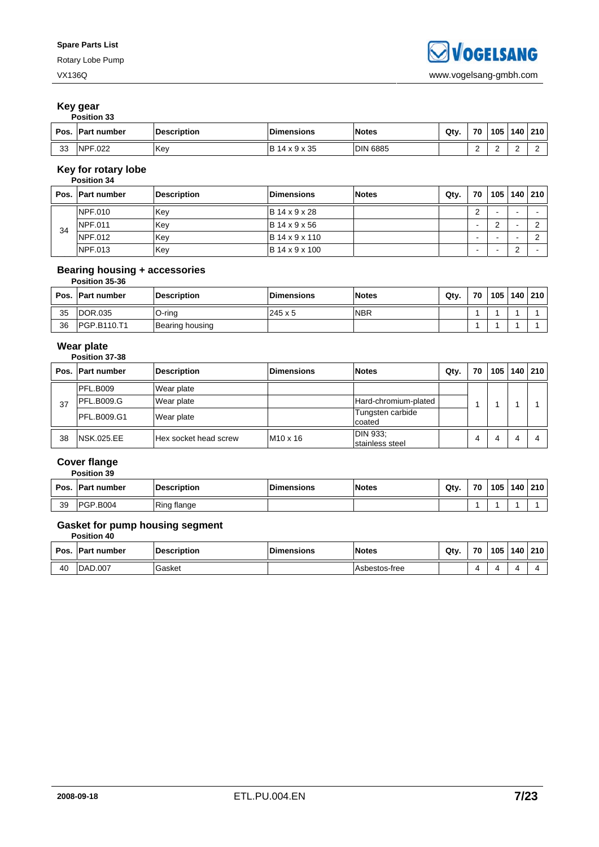### **Key gear**

|      | <b>Position 33</b>  |                    |                       |                 |      |             |     |           |  |
|------|---------------------|--------------------|-----------------------|-----------------|------|-------------|-----|-----------|--|
| Pos. | <b>IPart number</b> | <b>Description</b> | <b>Dimensions</b>     | <b>Notes</b>    | Qty. | 70          | 105 | 140   210 |  |
| 33   | NPF.022             | <b>Key</b>         | <b>IB 14 x 9 x 35</b> | <b>DIN 6885</b> |      | $\sim$<br>- |     |           |  |

## **Key for rotary lobe**

|    | Pos. Part number | <b>Description</b> | <b>Dimensions</b>      | <b>Notes</b> | Qty. | 70     | 105 l | 140        | 210 |
|----|------------------|--------------------|------------------------|--------------|------|--------|-------|------------|-----|
|    | NPF.010          | lKev               | $IB$ 14 x 9 x 28       |              |      | ົ<br>۷ |       |            |     |
| 34 | NPF.011          | Kev                | $IB$ 14 x 9 x 56       |              |      | -      |       |            |     |
|    | NPF.012          | Key                | <b>IB</b> 14 x 9 x 110 |              |      | -      |       |            |     |
|    | NPF.013          | Key                | B 14 x 9 x 100         |              |      | -      |       | $\sqrt{2}$ |     |

### **Bearing housing + accessories**

|    | Position 35-36     |                    |                    |              |      |    |     |     |     |
|----|--------------------|--------------------|--------------------|--------------|------|----|-----|-----|-----|
|    | Pos. Part number   | <b>Description</b> | <b>IDimensions</b> | <b>Notes</b> | Qty. | 70 | 105 | 140 | 210 |
| 35 | <b>IDOR.035</b>    | O-ring             | $245 \times 5$     | <b>NBR</b>   |      |    |     |     |     |
| 36 | <b>PGP.B110.T1</b> | Bearing housing    |                    |              |      |    |     |     |     |

### **Wear plate**

### **Position 37-38**

|    | Pos. Part number   | <b>Description</b>    | <b>Dimensions</b> | <b>Notes</b>                | Qty. | 70 | 105 | 140 | 210 |
|----|--------------------|-----------------------|-------------------|-----------------------------|------|----|-----|-----|-----|
|    | <b>PFL.B009</b>    | Wear plate            |                   |                             |      |    |     |     |     |
| 37 | <b>PFL.B009.G</b>  | Wear plate            |                   | Hard-chromium-plated        |      |    |     |     |     |
|    | <b>PFL.B009.G1</b> | Wear plate            |                   | Tungsten carbide<br>coated  |      |    |     |     |     |
| 38 | <b>NSK.025.EE</b>  | Hex socket head screw | $M10 \times 16$   | DIN 933:<br>stainless steel |      | 4  | 4   | 4   |     |

#### **Cover flange Position 39**

|      | vənon və        |                    |                   |              |      |    |     |     |     |
|------|-----------------|--------------------|-------------------|--------------|------|----|-----|-----|-----|
| Pos. | . IPart number  | <b>Description</b> | <b>Dimensions</b> | <b>Notes</b> | Qtv. | 70 | 105 | 140 | 210 |
| 39   | <b>PGP.B004</b> | Ring flange        |                   |              |      |    |     |     |     |

### **Gasket for pump housing segment**

**Position 40** 

| Pos. | <b>IPart number</b> | Description | <b>Dimensions</b> | <b>Notes</b>  | Qtv. | 70       | 105 | 140 | 210 |
|------|---------------------|-------------|-------------------|---------------|------|----------|-----|-----|-----|
| 40   | <b>DAD.007</b>      | Gasket      |                   | Asbestos-free |      | $\Delta$ |     |     |     |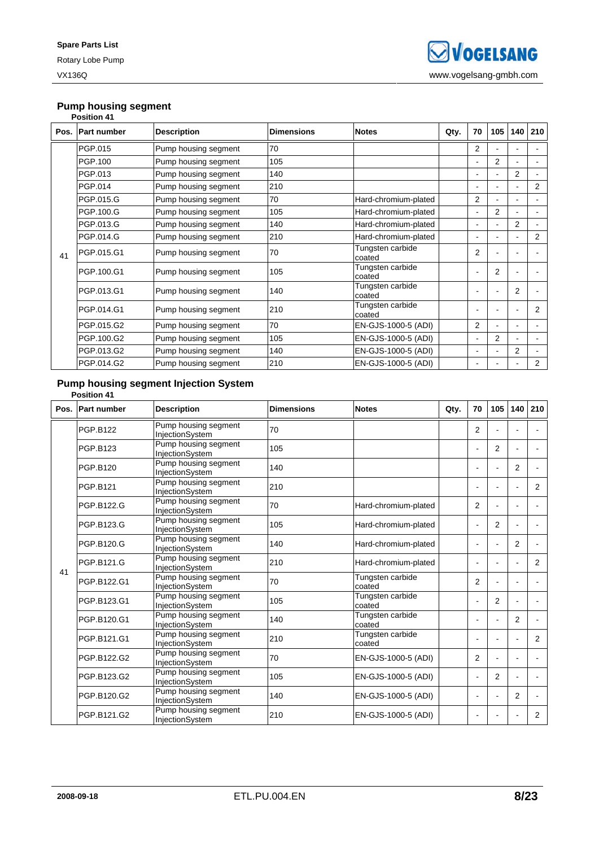### **Pump housing segment**

|    | <b>Position 41</b> |                      |                   |                            |      |                          |                |                |                |
|----|--------------------|----------------------|-------------------|----------------------------|------|--------------------------|----------------|----------------|----------------|
|    | Pos. Part number   | <b>Description</b>   | <b>Dimensions</b> | <b>Notes</b>               | Qty. | 70                       | 105            | 140            | 210            |
|    | PGP.015            | Pump housing segment | 70                |                            |      | 2                        |                |                |                |
|    | PGP.100            | Pump housing segment | 105               |                            |      | $\blacksquare$           | $\overline{2}$ | $\overline{a}$ |                |
|    | PGP.013            | Pump housing segment | 140               |                            |      | $\blacksquare$           |                | $\overline{2}$ |                |
|    | PGP.014            | Pump housing segment | 210               |                            |      |                          |                |                | $\overline{2}$ |
|    | PGP.015.G          | Pump housing segment | 70                | Hard-chromium-plated       |      | 2                        |                | ۰              |                |
|    | PGP.100.G          | Pump housing segment | 105               | Hard-chromium-plated       |      | $\blacksquare$           | $\overline{2}$ | Ĭ.             | ۰              |
|    | PGP.013.G          | Pump housing segment | 140               | Hard-chromium-plated       |      | $\blacksquare$           |                | $\overline{2}$ |                |
|    | PGP.014.G          | Pump housing segment | 210               | Hard-chromium-plated       |      | $\blacksquare$           |                | Ĭ.             | $\overline{2}$ |
| 41 | PGP.015.G1         | Pump housing segment | 70                | Tungsten carbide<br>coated |      | 2                        |                |                |                |
|    | PGP.100.G1         | Pump housing segment | 105               | Tungsten carbide<br>coated |      | L,                       | $\overline{2}$ |                |                |
|    | PGP.013.G1         | Pump housing segment | 140               | Tungsten carbide<br>coated |      | $\overline{\phantom{0}}$ |                | $\overline{2}$ |                |
|    | PGP.014.G1         | Pump housing segment | 210               | Tungsten carbide<br>coated |      | ۰                        |                |                | 2              |
|    | PGP.015.G2         | Pump housing segment | 70                | EN-GJS-1000-5 (ADI)        |      | 2                        |                | ۰              |                |
|    | PGP.100.G2         | Pump housing segment | 105               | EN-GJS-1000-5 (ADI)        |      | $\blacksquare$           | $\overline{2}$ |                |                |
|    | PGP.013.G2         | Pump housing segment | 140               | EN-GJS-1000-5 (ADI)        |      | ۰                        |                | $\overline{2}$ |                |
|    | PGP.014.G2         | Pump housing segment | 210               | EN-GJS-1000-5 (ADI)        |      | ۰                        |                |                | 2              |

### **Pump housing segment Injection System**

# **Position 41**

|    | Pos. Part number | <b>Description</b>                      | <b>Dimensions</b> | <b>Notes</b>               | Qty. | 70                       | 105            | 140            | 210            |
|----|------------------|-----------------------------------------|-------------------|----------------------------|------|--------------------------|----------------|----------------|----------------|
|    | <b>PGP.B122</b>  | Pump housing segment<br>InjectionSystem | 70                |                            |      | 2                        |                |                |                |
|    | PGP.B123         | Pump housing segment<br>InjectionSystem | 105               |                            |      | $\blacksquare$           | 2              |                |                |
|    | PGP.B120         | Pump housing segment<br>InjectionSystem | 140               |                            |      | $\blacksquare$           |                | $\overline{2}$ |                |
|    | <b>PGP.B121</b>  | Pump housing segment<br>InjectionSystem | 210               |                            |      | $\blacksquare$           |                |                | 2              |
| 41 | PGP.B122.G       | Pump housing segment<br>InjectionSystem | 70                | Hard-chromium-plated       |      | 2                        |                |                |                |
|    | PGP.B123.G       | Pump housing segment<br>InjectionSystem | 105               | Hard-chromium-plated       |      | $\blacksquare$           | 2              |                |                |
|    | PGP.B120.G       | Pump housing segment<br>InjectionSystem | 140               | Hard-chromium-plated       |      | $\blacksquare$           |                | 2              |                |
|    | PGP.B121.G       | Pump housing segment<br>InjectionSystem | 210               | Hard-chromium-plated       |      | $\blacksquare$           |                |                | $\overline{2}$ |
|    | PGP.B122.G1      | Pump housing segment<br>InjectionSystem | 70                | Tungsten carbide<br>coated |      | $\overline{2}$           |                |                |                |
|    | PGP.B123.G1      | Pump housing segment<br>InjectionSystem | 105               | Tungsten carbide<br>coated |      | $\blacksquare$           | 2              |                |                |
|    | PGP.B120.G1      | Pump housing segment<br>InjectionSystem | 140               | Tungsten carbide<br>coated |      |                          |                | 2              |                |
|    | PGP.B121.G1      | Pump housing segment<br>InjectionSystem | 210               | Tungsten carbide<br>coated |      |                          |                |                | 2              |
|    | PGP.B122.G2      | Pump housing segment<br>InjectionSystem | 70                | EN-GJS-1000-5 (ADI)        |      | 2                        |                |                |                |
|    | PGP.B123.G2      | Pump housing segment<br>InjectionSystem | 105               | EN-GJS-1000-5 (ADI)        |      | $\blacksquare$           | $\overline{2}$ |                |                |
|    | PGP.B120.G2      | Pump housing segment<br>InjectionSystem | 140               | EN-GJS-1000-5 (ADI)        |      | $\overline{\phantom{a}}$ |                | $\overline{2}$ |                |
|    | PGP.B121.G2      | Pump housing segment<br>InjectionSystem | 210               | EN-GJS-1000-5 (ADI)        |      | ۰                        |                |                | 2              |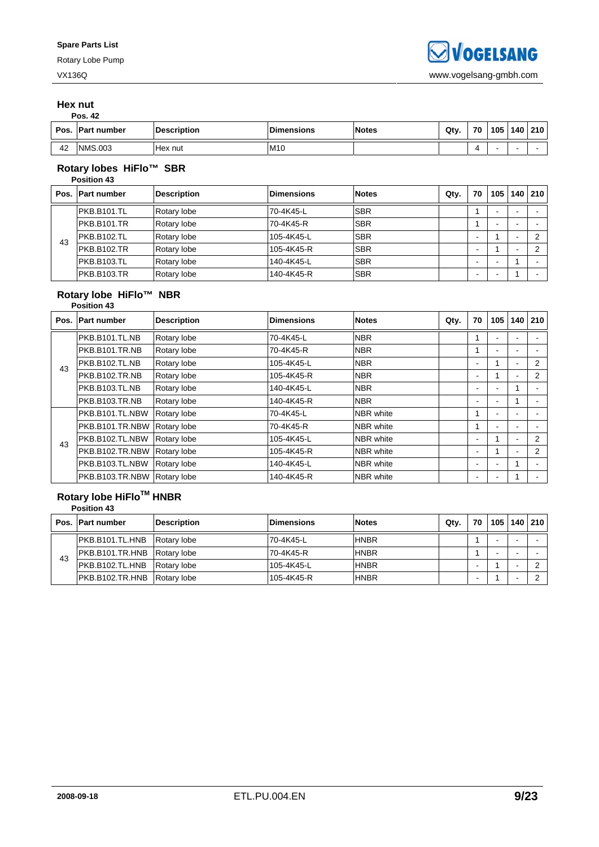#### **Hex nut Pos. 42**

| Pos. | <b>Part number</b> | <b>Description</b> | <b>Dimensions</b> | <b>Notes</b> | Qty. | 70 | 105 | 140 | 210 |
|------|--------------------|--------------------|-------------------|--------------|------|----|-----|-----|-----|
| 42   | <b>NMS.003</b>     | Hex nut            | M <sub>10</sub>   |              |      |    |     |     |     |

#### **Rotary lobes HiFlo™ SBR Position 43**

|    | Pos. Part number | <b>Description</b> | <b>Dimensions</b> | <b>Notes</b> | Qty. | 70 | 105 | 140                      | 210    |
|----|------------------|--------------------|-------------------|--------------|------|----|-----|--------------------------|--------|
|    | IPKB.B101.TL     | Rotary lobe        | 70-4K45-L         | <b>SBR</b>   |      |    |     |                          |        |
|    | PKB.B101.TR      | Rotary lobe        | 70-4K45-R         | <b>SBR</b>   |      |    |     |                          |        |
| 43 | PKB.B102.TL      | Rotary lobe        | 105-4K45-L        | <b>SBR</b>   |      |    |     |                          | ◠      |
|    | PKB.B102.TR      | Rotary lobe        | 105-4K45-R        | <b>SBR</b>   |      |    |     | $\overline{\phantom{0}}$ | $\sim$ |
|    | PKB.B103.TL      | Rotary lobe        | 140-4K45-L        | <b>SBR</b>   |      |    |     |                          |        |
|    | PKB.B103.TR      | Rotary lobe        | 140-4K45-R        | <b>SBR</b>   |      | -  |     |                          |        |

#### **Rotary lobe HiFlo™ NBR Position 43**

|    | Pos. Part number | <b>Description</b> | <b>Dimensions</b> | <b>Notes</b>     | Qty. | 70             | 105 | 140                      | 210 |
|----|------------------|--------------------|-------------------|------------------|------|----------------|-----|--------------------------|-----|
|    | PKB.B101.TL.NB   | Rotary lobe        | 70-4K45-L         | <b>NBR</b>       |      |                |     |                          |     |
|    | PKB.B101.TR.NB   | Rotary lobe        | 70-4K45-R         | <b>NBR</b>       |      |                |     |                          |     |
| 43 | PKB.B102.TL.NB   | Rotary lobe        | 105-4K45-L        | <b>NBR</b>       |      | $\blacksquare$ |     |                          | 2   |
|    | PKB.B102.TR.NB   | Rotary lobe        | 105-4K45-R        | <b>NBR</b>       |      | $\blacksquare$ |     | ٠                        | 2   |
|    | PKB.B103.TL.NB   | Rotary lobe        | 140-4K45-L        | <b>NBR</b>       |      | ۰              |     |                          |     |
|    | PKB.B103.TR.NB   | Rotary lobe        | 140-4K45-R        | <b>NBR</b>       |      | $\blacksquare$ |     |                          |     |
|    | PKB.B101.TL.NBW  | Rotary lobe        | 70-4K45-L         | <b>NBR</b> white |      |                |     |                          |     |
|    | PKB.B101.TR.NBW  | Rotary lobe        | 70-4K45-R         | <b>NBR</b> white |      |                |     |                          |     |
| 43 | PKB.B102.TL.NBW  | Rotary lobe        | 105-4K45-L        | NBR white        |      | $\blacksquare$ |     | -                        | 2   |
|    | PKB.B102.TR.NBW  | Rotary lobe        | 105-4K45-R        | <b>NBR</b> white |      | $\blacksquare$ |     | $\overline{\phantom{0}}$ | 2   |
|    | PKB.B103.TL.NBW  | Rotary lobe        | 140-4K45-L        | <b>NBR</b> white |      | ٠              |     |                          |     |
|    | PKB.B103.TR.NBW  | <b>Rotary lobe</b> | 140-4K45-R        | <b>NBR</b> white |      |                |     |                          |     |

# **Rotary lobe HiFloTM HNBR**

|    | <b>Position 43</b> |                    |                   |              |      |    |     |         |
|----|--------------------|--------------------|-------------------|--------------|------|----|-----|---------|
|    | Pos. Part number   | <b>Description</b> | <b>Dimensions</b> | <b>Notes</b> | Qty. | 70 | 105 | 140 210 |
|    | PKB.B101.TL.HNB    | Rotary lobe        | 70-4K45-L         | <b>HNBR</b>  |      |    |     |         |
| 43 | PKB.B101.TR.HNB    | <b>Rotary lobe</b> | 70-4K45-R         | <b>HNBR</b>  |      |    |     |         |
|    | PKB.B102.TL.HNB    | Rotary lobe        | 105-4K45-L        | <b>HNBR</b>  |      |    |     |         |
|    | PKB.B102.TR.HNB    | Rotary lobe        | 105-4K45-R        | <b>HNBR</b>  |      |    |     |         |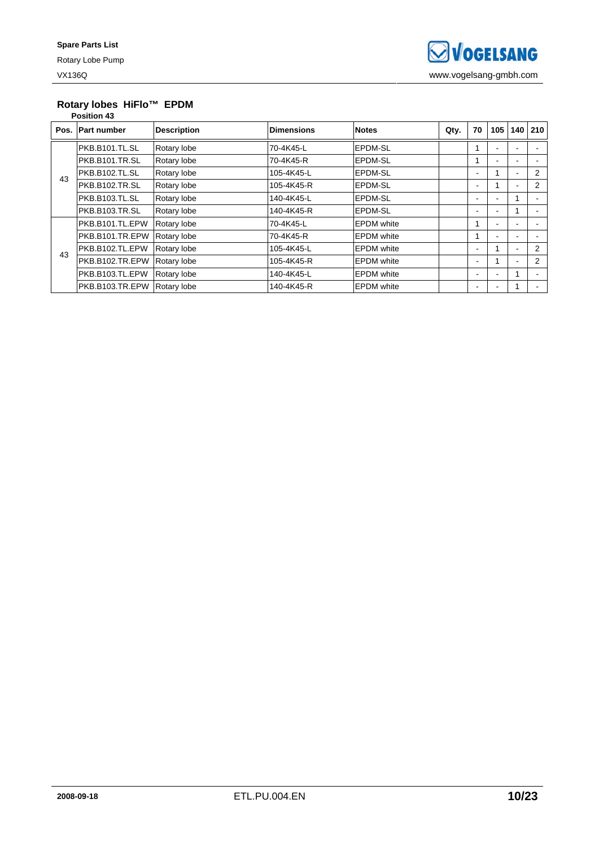# **Rotary lobes HiFlo™ EPDM**

|    | <b>Position 43</b> |                    |                   |                    |      |                          |     |                          |     |
|----|--------------------|--------------------|-------------------|--------------------|------|--------------------------|-----|--------------------------|-----|
|    | Pos. Part number   | <b>Description</b> | <b>Dimensions</b> | <b>Notes</b>       | Qty. | 70                       | 105 | 140                      | 210 |
|    | PKB.B101.TL.SL     | Rotary lobe        | 70-4K45-L         | <b>EPDM-SL</b>     |      |                          |     |                          |     |
|    | PKB.B101.TR.SL     | Rotary lobe        | 70-4K45-R         | <b>IEPDM-SL</b>    |      |                          |     |                          |     |
| 43 | PKB.B102.TL.SL     | Rotary lobe        | 105-4K45-L        | <b>EPDM-SL</b>     |      |                          |     |                          | 2   |
|    | PKB.B102.TR.SL     | Rotary lobe        | 105-4K45-R        | EPDM-SL            |      | $\overline{\phantom{a}}$ |     | $\blacksquare$           | 2   |
|    | PKB.B103.TL.SL     | Rotary lobe        | 140-4K45-L        | EPDM-SL            |      | ۰                        |     |                          |     |
|    | PKB.B103.TR.SL     | Rotary lobe        | 140-4K45-R        | <b>EPDM-SL</b>     |      | ٠                        | ۰   |                          |     |
|    | PKB.B101.TL.EPW    | Rotary lobe        | 70-4K45-L         | <b>IEPDM</b> white |      |                          |     |                          |     |
|    | PKB.B101.TR.EPW    | Rotary lobe        | 70-4K45-R         | <b>IEPDM</b> white |      |                          |     |                          |     |
| 43 | PKB.B102.TL.EPW    | Rotary lobe        | 105-4K45-L        | <b>EPDM</b> white  |      | ۰                        |     | $\overline{\phantom{a}}$ | 2   |
|    | PKB.B102.TR.EPW    | Rotary lobe        | 105-4K45-R        | <b>EPDM</b> white  |      | ۰                        |     | $\overline{\phantom{a}}$ | 2   |
|    | PKB.B103.TL.EPW    | Rotary lobe        | 140-4K45-L        | <b>EPDM</b> white  |      | ۰                        |     |                          |     |
|    | PKB.B103.TR.EPW    | Rotary lobe        | 140-4K45-R        | <b>EPDM</b> white  |      | ٠                        |     |                          |     |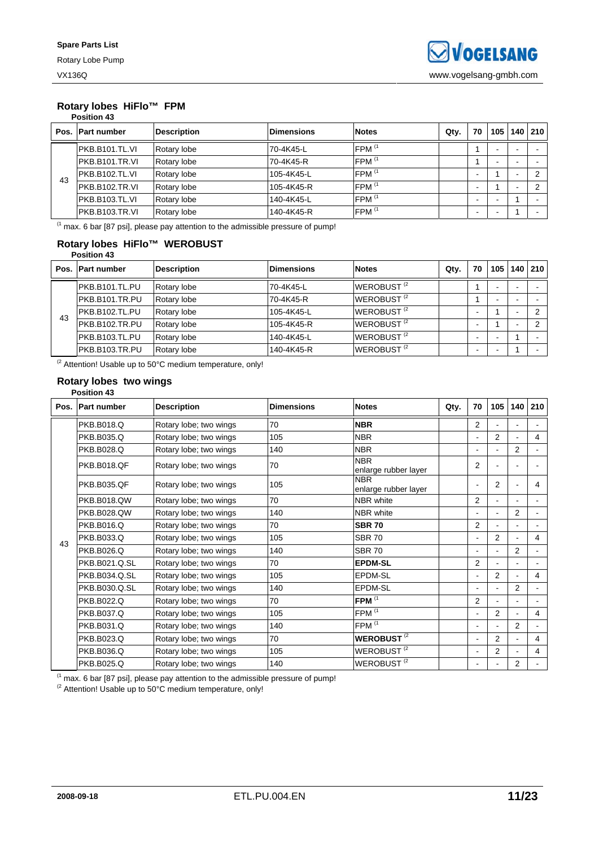#### **Rotary lobes HiFlo™ FPM Position 43**

|      | PUSILIUII 43       |                    |                   |                     |      |                          |     |                          |     |
|------|--------------------|--------------------|-------------------|---------------------|------|--------------------------|-----|--------------------------|-----|
| Pos. | <b>Part number</b> | <b>Description</b> | <b>Dimensions</b> | <b>Notes</b>        | Qty. | 70                       | 105 | 140                      | 210 |
|      | IPKB.B101.TL.VI    | Rotary lobe        | 70-4K45-L         | FPM <sup>(1</sup>   |      |                          |     |                          |     |
|      | PKB.B101.TR.VI     | Rotary lobe        | 70-4K45-R         | $FPM$ <sup>(1</sup> |      |                          |     |                          |     |
| 43   | PKB.B102.TL.VI     | Rotary lobe        | 105-4K45-L        | FPM <sup>(1</sup>   |      |                          |     |                          |     |
|      | PKB.B102.TR.VI     | Rotary lobe        | 105-4K45-R        | $FPM$ <sup>(1</sup> |      | $\overline{\phantom{0}}$ |     | $\overline{\phantom{0}}$ |     |
|      | PKB.B103.TL.VI     | Rotary lobe        | 140-4K45-L        | $FPM$ <sup>(1</sup> |      |                          |     |                          |     |
|      | PKB.B103.TR.VI     | Rotary lobe        | 140-4K45-R        | $FPM$ <sup>(1</sup> |      | $\overline{\phantom{0}}$ |     |                          |     |

 $<sup>(1)</sup>$  max. 6 bar [87 psi], please pay attention to the admissible pressure of pump!</sup>

### **Rotary lobes HiFlo™ WEROBUST Position 43**

|    | Pos. Part number | <b>Description</b> | <b>Dimensions</b> | <b>Notes</b>           | Qty. | 70 | 105 <sub>1</sub> | 140 | 210      |
|----|------------------|--------------------|-------------------|------------------------|------|----|------------------|-----|----------|
|    | PKB.B101.TL.PU   | Rotary lobe        | 70-4K45-L         | WEROBUST <sup>(2</sup> |      |    |                  |     |          |
|    | IPKB.B101.TR.PU  | Rotary lobe        | 70-4K45-R         | WEROBUST <sup>(2</sup> |      |    |                  |     |          |
|    | PKB.B102.TL.PU   | Rotary lobe        | 105-4K45-L        | WEROBUST <sup>(2</sup> |      |    |                  |     | $\Omega$ |
| 43 | PKB.B102.TR.PU   | Rotary lobe        | 105-4K45-R        | WEROBUST <sup>(2</sup> |      |    |                  |     | ◠        |
|    | PKB.B103.TL.PU   | Rotary lobe        | 140-4K45-L        | WEROBUST <sup>(2</sup> |      |    |                  |     |          |
|    | PKB.B103.TR.PU   | Rotary lobe        | 140-4K45-R        | WEROBUST <sup>(2</sup> |      |    |                  |     |          |

 $\frac{1}{2}$  Attention! Usable up to 50°C medium temperature, only!

#### **Rotary lobes two wings Position 43**

|    | Pos. Part number   | <b>Description</b>     | <b>Dimensions</b> | <b>Notes</b>                       | Qty. | 70                           | 105            | 140            | 210            |
|----|--------------------|------------------------|-------------------|------------------------------------|------|------------------------------|----------------|----------------|----------------|
|    | <b>PKB.B018.Q</b>  | Rotary lobe; two wings | 70                | <b>NBR</b>                         |      | 2                            |                |                |                |
|    | PKB.B035.Q         | Rotary lobe; two wings | 105               | <b>NBR</b>                         |      | ۰                            | $\overline{2}$ |                | $\overline{4}$ |
|    | <b>PKB.B028.Q</b>  | Rotary lobe; two wings | 140               | <b>NBR</b>                         |      | $\blacksquare$               | $\blacksquare$ | 2              |                |
|    | <b>PKB.B018.QF</b> | Rotary lobe; two wings | 70                | <b>NBR</b><br>enlarge rubber layer |      | $\overline{2}$               |                |                |                |
|    | <b>PKB.B035.QF</b> | Rotary lobe; two wings | 105               | <b>NBR</b><br>enlarge rubber layer |      | $\overline{a}$               | 2              |                | 4              |
|    | <b>PKB.B018.QW</b> | Rotary lobe; two wings | 70                | <b>NBR</b> white                   |      | $\overline{2}$               | $\blacksquare$ | $\blacksquare$ |                |
|    | <b>PKB.B028.QW</b> | Rotary lobe; two wings | 140               | <b>NBR</b> white                   |      | $\blacksquare$               | $\blacksquare$ | $\overline{2}$ |                |
|    | PKB.B016.Q         | Rotary lobe; two wings | 70                | <b>SBR 70</b>                      |      | $\overline{2}$               |                |                |                |
| 43 | PKB.B033.Q         | Rotary lobe; two wings | 105               | <b>SBR 70</b>                      |      | $\blacksquare$               | $\overline{2}$ |                | $\overline{4}$ |
|    | PKB.B026.Q         | Rotary lobe; two wings | 140               | <b>SBR 70</b>                      |      | $\blacksquare$               |                | $\overline{2}$ |                |
|    | PKB.B021.Q.SL      | Rotary lobe; two wings | 70                | <b>EPDM-SL</b>                     |      | 2                            |                |                |                |
|    | PKB.B034.Q.SL      | Rotary lobe; two wings | 105               | EPDM-SL                            |      | $\qquad \qquad \blacksquare$ | $\overline{2}$ | $\blacksquare$ | 4              |
|    | PKB.B030.Q.SL      | Rotary lobe; two wings | 140               | EPDM-SL                            |      |                              |                | $\overline{2}$ |                |
|    | PKB.B022.Q         | Rotary lobe; two wings | 70                | FPM $(1)$                          |      | $\overline{2}$               | $\blacksquare$ | $\blacksquare$ |                |
|    | PKB.B037.Q         | Rotary lobe; two wings | 105               | FPM <sup>(1</sup>                  |      | $\overline{\phantom{a}}$     | $\overline{2}$ | $\blacksquare$ | 4              |
|    | PKB.B031.Q         | Rotary lobe; two wings | 140               | FPM <sup>(1</sup>                  |      | $\blacksquare$               |                | 2              |                |
|    | PKB.B023.Q         | Rotary lobe; two wings | 70                | <b>WEROBUST<sup>(2</sup>)</b>      |      | $\blacksquare$               | 2              | $\mathbf{r}$   | 4              |
|    | PKB.B036.Q         | Rotary lobe; two wings | 105               | WEROBUST <sup>(2</sup>             |      | $\blacksquare$               | 2              |                | 4              |
|    | PKB.B025.Q         | Rotary lobe; two wings | 140               | WEROBUST <sup>(2</sup>             |      | $\blacksquare$               |                | 2              |                |

 $<sup>(1</sup>$  max. 6 bar [87 psi], please pay attention to the admissible pressure of pump!</sup>

 $^{(2}$  Attention! Usable up to 50°C medium temperature, only!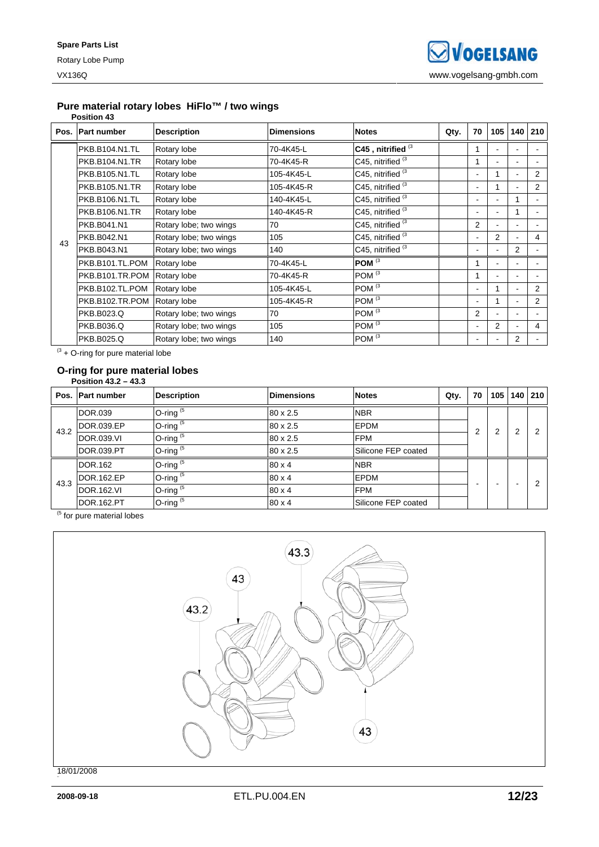### **Pure material rotary lobes HiFlo™ / two wings**

### **Position 43**

|    | Pos. Part number | <b>Description</b>     | <b>Dimensions</b> | <b>Notes</b>                 | Qty. | 70             | 105            | 140                      | 210 |
|----|------------------|------------------------|-------------------|------------------------------|------|----------------|----------------|--------------------------|-----|
|    | PKB.B104.N1.TL   | Rotary lobe            | 70-4K45-L         | C45, nitrified <sup>(3</sup> |      | 1              |                |                          |     |
|    | PKB.B104.N1.TR   | Rotary lobe            | 70-4K45-R         | C45, nitrified <sup>(3</sup> |      | 1              |                |                          |     |
|    | PKB.B105.N1.TL   | Rotary lobe            | 105-4K45-L        | C45, nitrified <sup>(3</sup> |      | $\blacksquare$ |                |                          | 2   |
|    | PKB.B105.N1.TR   | Rotary lobe            | 105-4K45-R        | C45, nitrified <sup>(3</sup> |      | $\blacksquare$ |                |                          | 2   |
|    | PKB.B106.N1.TL   | Rotary lobe            | 140-4K45-L        | C45, nitrified <sup>(3</sup> |      | $\blacksquare$ |                | 1                        |     |
|    | PKB.B106.N1.TR   | Rotary lobe            | 140-4K45-R        | C45, nitrified <sup>(3</sup> |      | $\blacksquare$ |                | 1                        |     |
|    | PKB.B041.N1      | Rotary lobe; two wings | 70                | C45, nitrified <sup>(3</sup> |      | $\overline{2}$ |                |                          |     |
| 43 | PKB.B042.N1      | Rotary lobe; two wings | 105               | C45, nitrified <sup>(3</sup> |      | $\blacksquare$ | $\overline{2}$ | $\blacksquare$           | 4   |
|    | PKB.B043.N1      | Rotary lobe; two wings | 140               | C45, nitrified <sup>(3</sup> |      | $\blacksquare$ |                | 2                        |     |
|    | PKB.B101.TL.POM  | Rotary lobe            | 70-4K45-L         | POM <sup>(3</sup>            |      | 1              |                |                          |     |
|    | PKB.B101.TR.POM  | Rotary lobe            | 70-4K45-R         | POM <sup>(3</sup>            |      | 1              |                |                          |     |
|    | PKB.B102.TL.POM  | Rotary lobe            | 105-4K45-L        | $POM^{(3)}$                  |      | $\blacksquare$ |                |                          | 2   |
|    | PKB.B102.TR.POM  | Rotary lobe            | 105-4K45-R        | POM $\overline{3}$           |      | $\blacksquare$ |                | $\overline{\phantom{a}}$ | 2   |
|    | PKB.B023.Q       | Rotary lobe; two wings | 70                | POM <sup>(3</sup>            |      | $\overline{2}$ |                | $\overline{\phantom{a}}$ |     |
|    | PKB.B036.Q       | Rotary lobe; two wings | 105               | $POM^{(3)}$                  |      | $\blacksquare$ | $\overline{2}$ | $\overline{\phantom{a}}$ | 4   |
|    | PKB.B025.Q       | Rotary lobe; two wings | 140               | POM <sup>(3</sup>            |      | $\blacksquare$ |                | 2                        |     |

 $(3 + O$ -ring for pure material lobe

#### **O-ring for pure material lobes Position 43.2 – 43.3**

|      | Pos. Part number  | <b>Description</b> | <b>Dimensions</b> | <b>Notes</b>                | Qty. | 70 | 105 |        | 140 210 |
|------|-------------------|--------------------|-------------------|-----------------------------|------|----|-----|--------|---------|
|      | <b>DOR.039</b>    | O-ring $(5)$       | 80 x 2.5          | <b>NBR</b>                  |      |    |     |        |         |
| 43.2 | DOR.039.EP        | O-ring $(5)$       | 80 x 2.5          | <b>EPDM</b>                 |      | 2  | ⌒   | っ<br>∠ |         |
|      | <b>DOR.039.VI</b> | O-ring $(5)$       | 80 x 2.5          | <b>FPM</b>                  |      |    |     |        |         |
|      | <b>DOR.039.PT</b> | O-ring $(5)$       | 80 x 2.5          | Silicone FEP coated         |      |    |     |        |         |
|      | <b>DOR.162</b>    | O-ring $(5)$       | $80 \times 4$     | <b>NBR</b>                  |      |    |     |        |         |
|      | DOR.162.EP        | $O$ -ring $(5)$    | $80 \times 4$     | <b>EPDM</b>                 |      |    |     |        | ◠       |
| 43.3 | <b>DOR.162.VI</b> | O-ring $(5)$       | $80 \times 4$     | <b>FPM</b>                  |      |    |     |        |         |
|      | DOR.162.PT        | O-ring $(5)$       | $80 \times 4$     | <b>ISilicone FEP coated</b> |      |    |     |        |         |

 $<sup>(5)</sup>$  for pure material lobes</sup>



18/01/2008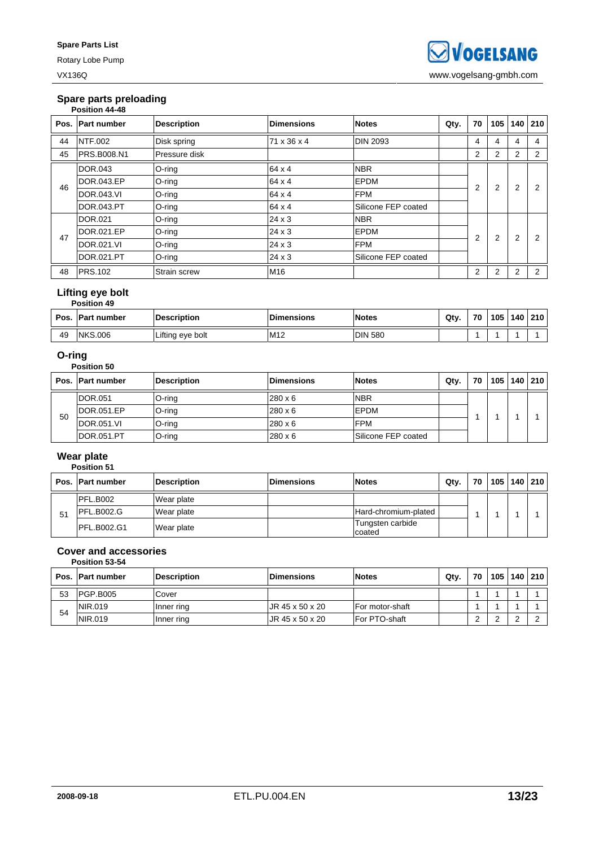Rotary Lobe Pump

### **Spare parts preloading**

|      | Position 44-48     |                    |                   |                     |      |                |     |                |                |
|------|--------------------|--------------------|-------------------|---------------------|------|----------------|-----|----------------|----------------|
| Pos. | <b>Part number</b> | <b>Description</b> | <b>Dimensions</b> | <b>Notes</b>        | Qty. | 70             | 105 | 140            | 210            |
| 44   | <b>NTF.002</b>     | Disk spring        | 71 x 36 x 4       | <b>DIN 2093</b>     |      | 4              | 4   | 4              | 4              |
| 45   | <b>PRS.B008.N1</b> | Pressure disk      |                   |                     |      | 2              | 2   | 2              | 2              |
|      | DOR.043            | $O$ -ring          | 64 x 4            | <b>NBR</b>          |      |                |     |                |                |
| 46   | DOR.043.EP         | O-ring             | 64 x 4            | <b>EPDM</b>         |      | $\overline{2}$ | 2   | $\overline{2}$ | 2              |
|      | <b>DOR.043.VI</b>  | O-ring             | 64 x 4            | <b>FPM</b>          |      |                |     |                |                |
|      | <b>DOR.043.PT</b>  | $O$ -ring          | 64 x 4            | Silicone FEP coated |      |                |     |                |                |
|      | DOR.021            | $O$ -ring          | $24 \times 3$     | <b>NBR</b>          |      |                |     |                |                |
| 47   | DOR.021.EP         | $O$ -ring          | $24 \times 3$     | <b>EPDM</b>         |      | $\overline{2}$ | 2   | $\overline{2}$ | 2              |
|      | DOR.021.VI         | O-ring             | $24 \times 3$     | <b>FPM</b>          |      |                |     |                |                |
|      | DOR.021.PT         | $O$ -ring          | $24 \times 3$     | Silicone FEP coated |      |                |     |                |                |
| 48   | <b>PRS.102</b>     | Strain screw       | M16               |                     |      | $\overline{2}$ | 2   | 2              | $\overline{2}$ |

### **Lifting eye bolt**

|    | <b>Position 49</b>       |                    |                   |                |      |    |     |     |     |
|----|--------------------------|--------------------|-------------------|----------------|------|----|-----|-----|-----|
|    | <b>Pos. IPart number</b> | <b>Description</b> | <b>Dimensions</b> | <b>Notes</b>   | Qty. | 70 | 105 | 140 | 210 |
| 49 | <b>NKS.006</b>           | Lifting eye bolt   | M <sub>12</sub>   | <b>DIN 580</b> |      |    |     |     |     |

### **O-ring**

|    | Position 50       |                    |                   |                     |      |    |     |     |     |
|----|-------------------|--------------------|-------------------|---------------------|------|----|-----|-----|-----|
|    | Pos. Part number  | <b>Description</b> | <b>Dimensions</b> | <b>Notes</b>        | Qty. | 70 | 105 | 140 | 210 |
|    | DOR.051           | O-ring             | $280 \times 6$    | <b>NBR</b>          |      |    |     |     |     |
|    | DOR.051.EP        | O-ring             | $280 \times 6$    | EPDM                |      |    |     |     |     |
| 50 | <b>DOR.051.VI</b> | O-ring             | $280 \times 6$    | <b>FPM</b>          |      |    |     |     |     |
|    | DOR.051.PT        | $O$ -ring          | $280 \times 6$    | Silicone FEP coated |      |    |     |     |     |

### **Wear plate**

### **Position 51**

|    | Pos. Part number   | <b>Description</b> | <b>Dimensions</b> | <b>Notes</b>               | $Q$ ty. | 70 |  | 105   140   210 |
|----|--------------------|--------------------|-------------------|----------------------------|---------|----|--|-----------------|
|    | PFL.B002           | Wear plate         |                   |                            |         |    |  |                 |
| 51 | IPFL.B002.G        | Wear plate         |                   | Hard-chromium-plated       |         |    |  |                 |
|    | <b>PFL.B002.G1</b> | Wear plate         |                   | Tungsten carbide<br>coated |         |    |  |                 |

#### **Cover and accessories Position 53-54**

|    | Pos. Part number | <b>Description</b> | <b>Dimensions</b> | <b>Notes</b>    | Qtv. | 70 | 105 | 140 | 210 |
|----|------------------|--------------------|-------------------|-----------------|------|----|-----|-----|-----|
| 53 | PGP.B005         | Cover              |                   |                 |      |    |     |     |     |
| 54 | NIR.019          | Inner ring         | UR 45 x 50 x 20   | For motor-shaft |      |    |     |     |     |
|    | NIR.019          | Inner ring         | UR 45 x 50 x 20   | For PTO-shaft   |      |    |     |     |     |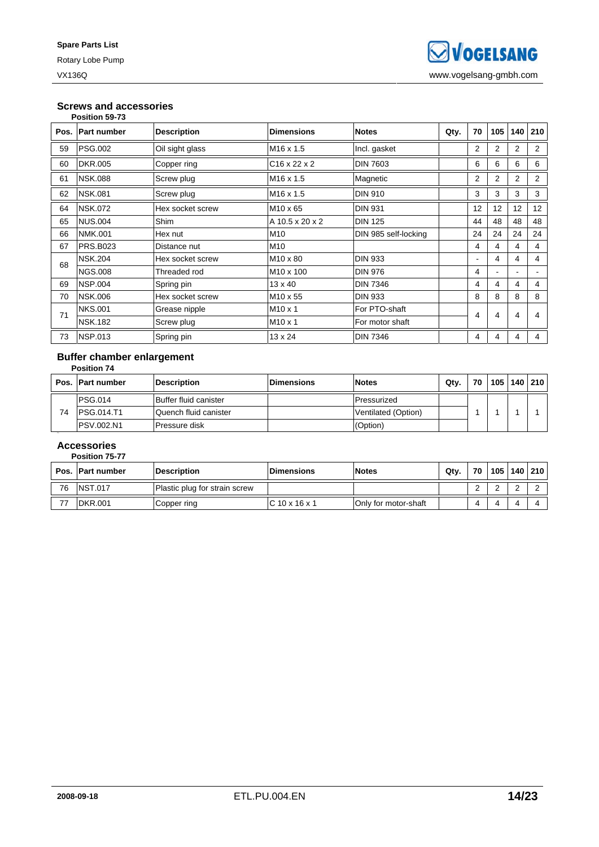# **Screws and accessories**

|      | Position 59-73     |                    |                          |                      |      |                |     |                |                |
|------|--------------------|--------------------|--------------------------|----------------------|------|----------------|-----|----------------|----------------|
| Pos. | <b>Part number</b> | <b>Description</b> | <b>Dimensions</b>        | <b>Notes</b>         | Qty. | 70             | 105 | 140            | 210            |
| 59   | <b>PSG.002</b>     | Oil sight glass    | M <sub>16</sub> x 1.5    | Incl. gasket         |      | $\overline{2}$ | 2   | $\overline{2}$ | $\overline{2}$ |
| 60   | <b>DKR.005</b>     | Copper ring        | $C16 \times 22 \times 2$ | <b>DIN 7603</b>      |      | 6              | 6   | 6              | 6              |
| 61   | <b>NSK.088</b>     | Screw plug         | M <sub>16</sub> x 1.5    | Magnetic             |      | $\overline{2}$ | 2   | $\overline{2}$ | $\overline{2}$ |
| 62   | <b>NSK.081</b>     | Screw plug         | M <sub>16</sub> x 1.5    | <b>DIN 910</b>       |      | 3              | 3   | 3              | 3              |
| 64   | <b>NSK.072</b>     | Hex socket screw   | M <sub>10</sub> x 65     | <b>DIN 931</b>       |      | 12             | 12  | 12             | 12             |
| 65   | <b>NUS.004</b>     | <b>Shim</b>        | A 10.5 x 20 x 2          | <b>DIN 125</b>       |      | 44             | 48  | 48             | 48             |
| 66   | <b>NMK.001</b>     | Hex nut            | M <sub>10</sub>          | DIN 985 self-locking |      | 24             | 24  | 24             | 24             |
| 67   | PRS.B023           | Distance nut       | M <sub>10</sub>          |                      |      | $\overline{4}$ | 4   | 4              | 4              |
| 68   | <b>NSK.204</b>     | Hex socket screw   | M <sub>10</sub> x 80     | <b>DIN 933</b>       |      | $\blacksquare$ | 4   | 4              | 4              |
|      | <b>NGS.008</b>     | Threaded rod       | M <sub>10</sub> x 100    | <b>DIN 976</b>       |      | 4              |     | ٠              |                |
| 69   | <b>NSP.004</b>     | Spring pin         | $13 \times 40$           | <b>DIN 7346</b>      |      | 4              | 4   | 4              | 4              |
| 70   | <b>NSK.006</b>     | Hex socket screw   | M <sub>10</sub> x 55     | <b>DIN 933</b>       |      | 8              | 8   | 8              | 8              |
| 71   | <b>NKS.001</b>     | Grease nipple      | $M10 \times 1$           | For PTO-shaft        |      | 4              | 4   | 4              | 4              |
|      | <b>NSK.182</b>     | Screw plug         | $M10 \times 1$           | For motor shaft      |      |                |     |                |                |
| 73   | <b>NSP.013</b>     | Spring pin         | $13 \times 24$           | <b>DIN 7346</b>      |      | 4              | 4   | 4              | 4              |

#### **Buffer chamber enlargement Position 74**

|    | Pos. Part number   | <b>Description</b>    | <b>IDimensions</b> | <b>Notes</b>        | Qty. | 70 | 105 | 140 | 210 |
|----|--------------------|-----------------------|--------------------|---------------------|------|----|-----|-----|-----|
|    | <b>PSG.014</b>     | Buffer fluid canister |                    | Pressurized         |      |    |     |     |     |
| 74 | <b>IPSG.014.T1</b> | Quench fluid canister |                    | Ventilated (Option) |      |    |     |     |     |
|    | <b>PSV.002.N1</b>  | Pressure disk         |                    | (Option)            |      |    |     |     |     |

### **Accessories**

|    | Position 75-77   |                               |                   |                      |      |    |       |         |  |
|----|------------------|-------------------------------|-------------------|----------------------|------|----|-------|---------|--|
|    | Pos. Part number | <b>Description</b>            | <b>Dimensions</b> | <b>Notes</b>         | Qty. | 70 | 105 l | 140 210 |  |
| 76 | <b>NST.017</b>   | Plastic plug for strain screw |                   |                      |      | ⌒  |       | $\sim$  |  |
| 77 | DKR.001          | Copper ring                   | $C$ 10 x 16 x 1   | Only for motor-shaft |      | 4  |       |         |  |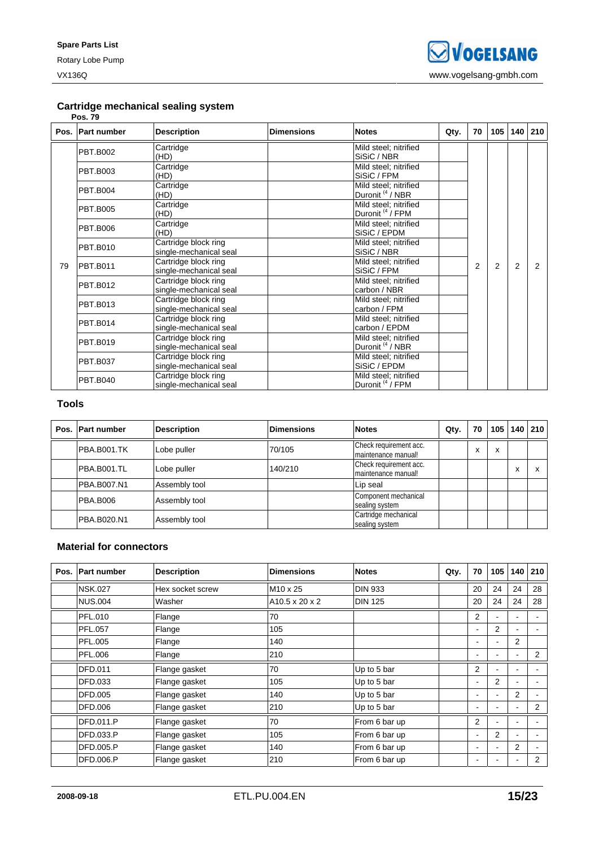### **Cartridge mechanical sealing system**

|    | <b>Pos. 79</b>   |                                                |                   |                                                      |      |    |     |                |               |
|----|------------------|------------------------------------------------|-------------------|------------------------------------------------------|------|----|-----|----------------|---------------|
|    | Pos. Part number | <b>Description</b>                             | <b>Dimensions</b> | <b>Notes</b>                                         | Qty. | 70 | 105 | 140            | 210           |
|    | <b>PBT.B002</b>  | Cartridge<br>(HD)                              |                   | Mild steel; nitrified<br>SiSiC / NBR                 |      |    |     |                |               |
|    | <b>PBT.B003</b>  | Cartridge<br>(HD)                              |                   | Mild steel; nitrified<br>SiSiC / FPM                 |      |    |     |                |               |
|    | <b>PBT.B004</b>  | Cartridge<br>(HD)                              |                   | Mild steel; nitrified<br>Duronit <sup>(4</sup> / NBR |      |    |     |                |               |
|    | <b>PBT.B005</b>  | Cartridge<br>(HD)                              |                   | Mild steel; nitrified<br>Duronit <sup>(4</sup> / FPM |      |    |     |                |               |
|    | <b>PBT.B006</b>  | Cartridge<br>(HD)                              |                   | Mild steel; nitrified<br>SiSiC / EPDM                |      |    |     |                |               |
|    | <b>PBT.B010</b>  | Cartridge block ring<br>single-mechanical seal |                   | Mild steel; nitrified<br>SiSiC / NBR                 |      |    |     |                |               |
| 79 | <b>PBT.B011</b>  | Cartridge block ring<br>single-mechanical seal |                   | Mild steel; nitrified<br>SiSiC / FPM                 |      | 2  | 2   | $\overline{2}$ | $\mathcal{P}$ |
|    | <b>PBT.B012</b>  | Cartridge block ring<br>single-mechanical seal |                   | Mild steel; nitrified<br>carbon / NBR                |      |    |     |                |               |
|    | <b>PBT.B013</b>  | Cartridge block ring<br>single-mechanical seal |                   | Mild steel; nitrified<br>carbon / FPM                |      |    |     |                |               |
|    | <b>PBT.B014</b>  | Cartridge block ring<br>single-mechanical seal |                   | Mild steel; nitrified<br>carbon / EPDM               |      |    |     |                |               |
|    | <b>PBT.B019</b>  | Cartridge block ring<br>single-mechanical seal |                   | Mild steel; nitrified<br>Duronit <sup>(4</sup> /NBR  |      |    |     |                |               |
|    | <b>PBT.B037</b>  | Cartridge block ring<br>single-mechanical seal |                   | Mild steel; nitrified<br>SiSiC / EPDM                |      |    |     |                |               |
|    | <b>PBT.B040</b>  | Cartridge block ring<br>single-mechanical seal |                   | Mild steel; nitrified<br>Duronit <sup>(4</sup> / FPM |      |    |     |                |               |

### **Tools**

| Pos. Part number   | <b>Description</b> | <b>Dimensions</b> | <b>Notes</b>                                  | Qty. | 70 | 105    |                 | 140 210 |
|--------------------|--------------------|-------------------|-----------------------------------------------|------|----|--------|-----------------|---------|
| PBA.B001.TK        | Lobe puller        | 70/105            | Check requirement acc.<br>maintenance manual! |      | X  | v<br>ᄉ |                 |         |
| PBA.B001.TL        | Lobe puller        | 140/210           | Check requirement acc.<br>maintenance manual! |      |    |        | $\check{}$<br>ᄉ |         |
| PBA.B007.N1        | Assembly tool      |                   | Lip seal                                      |      |    |        |                 |         |
| <b>PBA.B006</b>    | Assembly tool      |                   | Component mechanical<br>sealing system        |      |    |        |                 |         |
| <b>PBA.B020.N1</b> | Assembly tool      |                   | Cartridge mechanical<br>sealing system        |      |    |        |                 |         |

### **Material for connectors**

| Pos. | <b>Part number</b> | <b>Description</b> | <b>Dimensions</b>          | <b>Notes</b>   | Qty. | 70                       | 105 | 140            | 210            |
|------|--------------------|--------------------|----------------------------|----------------|------|--------------------------|-----|----------------|----------------|
|      | <b>NSK.027</b>     | Hex socket screw   | M10 x 25                   | <b>DIN 933</b> |      | 20                       | 24  | 24             | 28             |
|      | <b>NUS.004</b>     | Washer             | $A10.5 \times 20 \times 2$ | <b>DIN 125</b> |      | 20                       | 24  | 24             | 28             |
|      | <b>PFL.010</b>     | Flange             | 70                         |                |      | 2                        |     |                |                |
|      | <b>PFL.057</b>     | Flange             | 105                        |                |      | ٠                        | 2   | ۰              |                |
|      | <b>PFL.005</b>     | Flange             | 140                        |                |      | ۰                        |     | 2              |                |
|      | PFL.006            | Flange             | 210                        |                |      | ۰                        |     | ۰              | $\overline{2}$ |
|      | DFD.011            | Flange gasket      | 70                         | Up to 5 bar    |      | 2                        |     |                |                |
|      | DFD.033            | Flange gasket      | 105                        | Up to 5 bar    |      | $\overline{\phantom{0}}$ | 2   | ۰              |                |
|      | DFD.005            | Flange gasket      | 140                        | Up to 5 bar    |      | ۰                        | ۰.  | 2              |                |
|      | DFD.006            | Flange gasket      | 210                        | Up to 5 bar    |      | ۰                        |     | ۰              | $\overline{2}$ |
|      | DFD.011.P          | Flange gasket      | 70                         | From 6 bar up  |      | 2                        |     | ۰.             |                |
|      | DFD.033.P          | Flange gasket      | 105                        | From 6 bar up  |      | $\overline{\phantom{0}}$ | 2   | ۰              |                |
|      | DFD.005.P          | Flange gasket      | 140                        | From 6 bar up  |      | $\blacksquare$           |     | $\overline{2}$ |                |
|      | <b>DFD.006.P</b>   | Flange gasket      | 210                        | From 6 bar up  |      | ۰                        |     | ۰.             | $\overline{2}$ |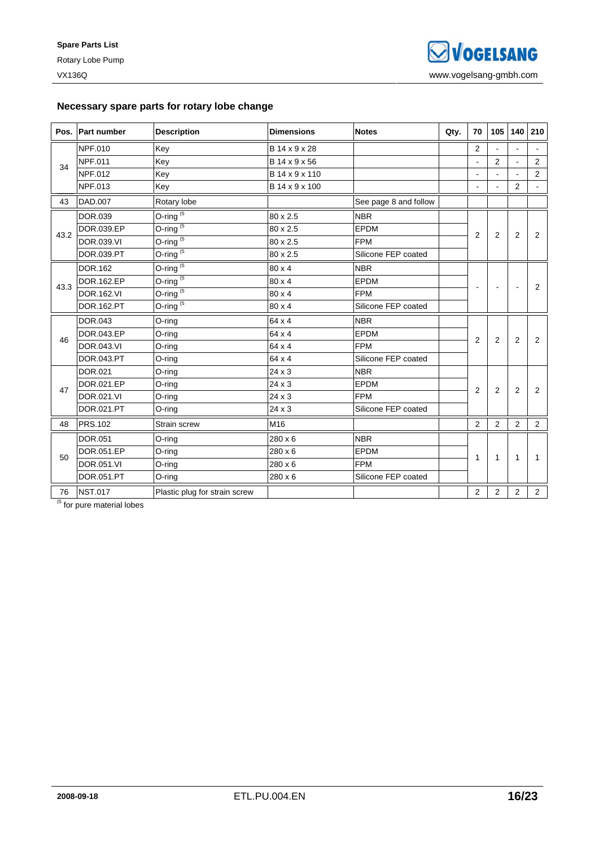### **Necessary spare parts for rotary lobe change**

|      | Pos. Part number  | <b>Description</b>            | <b>Dimensions</b> | <b>Notes</b>          | Qty. | 70                       | 105            | 140            | 210            |
|------|-------------------|-------------------------------|-------------------|-----------------------|------|--------------------------|----------------|----------------|----------------|
|      | <b>NPF.010</b>    | Key                           | B 14 x 9 x 28     |                       |      | 2                        |                |                |                |
| 34   | <b>NPF.011</b>    | Key                           | B 14 x 9 x 56     |                       |      | $\overline{\phantom{a}}$ | $\overline{2}$ | $\mathbf{r}$   | 2              |
|      | NPF.012           | Key                           | B 14 x 9 x 110    |                       |      | $\blacksquare$           |                |                | 2              |
|      | NPF.013           | Key                           | B 14 x 9 x 100    |                       |      | $\blacksquare$           |                | 2              |                |
| 43   | DAD.007           | Rotary lobe                   |                   | See page 8 and follow |      |                          |                |                |                |
|      | DOR.039           | O-ring $(5)$                  | 80 x 2.5          | <b>NBR</b>            |      |                          |                |                |                |
| 43.2 | DOR.039.EP        | O-ring $(5)$                  | 80 x 2.5          | <b>EPDM</b>           |      | 2                        | $\overline{2}$ | $\overline{2}$ | 2              |
|      | DOR.039.VI        | O-ring $(5)$                  | 80 x 2.5          | <b>FPM</b>            |      |                          |                |                |                |
|      | DOR.039.PT        | O-ring $(5)$                  | 80 x 2.5          | Silicone FEP coated   |      |                          |                |                |                |
|      | DOR.162           | O-ring $(5)$                  | 80 x 4            | <b>NBR</b>            |      |                          |                |                |                |
|      | DOR.162.EP        | $O\text{-ring}^{(5)}$         | $80 \times 4$     | EPDM                  |      |                          |                |                | 2              |
| 43.3 | DOR.162.VI        | O-ring $(5)$                  | 80 x 4            | <b>FPM</b>            |      |                          |                |                |                |
|      | DOR.162.PT        | O-ring $(5)$                  | 80 x 4            | Silicone FEP coated   |      |                          |                |                |                |
|      | DOR.043           | O-ring                        | 64 x 4            | <b>NBR</b>            |      |                          |                |                |                |
| 46   | DOR.043.EP        | O-ring                        | 64 x 4            | EPDM                  |      | 2                        | 2              | $\overline{2}$ | 2              |
|      | <b>DOR.043.VI</b> | O-ring                        | 64 x 4            | <b>FPM</b>            |      |                          |                |                |                |
|      | DOR.043.PT        | O-ring                        | 64 x 4            | Silicone FEP coated   |      |                          |                |                |                |
|      | DOR.021           | O-ring                        | $24 \times 3$     | <b>NBR</b>            |      |                          |                |                |                |
| 47   | DOR.021.EP        | O-ring                        | 24 x 3            | <b>EPDM</b>           |      | $\overline{2}$           | 2              | $\overline{2}$ | 2              |
|      | DOR.021.VI        | O-ring                        | $24 \times 3$     | <b>FPM</b>            |      |                          |                |                |                |
|      | DOR.021.PT        | O-ring                        | 24 x 3            | Silicone FEP coated   |      |                          |                |                |                |
| 48   | <b>PRS.102</b>    | Strain screw                  | M16               |                       |      | 2                        | 2              | 2              | 2              |
|      | DOR.051           | O-ring                        | 280 x 6           | <b>NBR</b>            |      |                          |                |                |                |
| 50   | DOR.051.EP        | O-ring                        | 280 x 6           | <b>EPDM</b>           |      | $\mathbf{1}$             | $\mathbf{1}$   | $\mathbf{1}$   | 1              |
|      | DOR.051.VI        | O-ring                        | 280 x 6           | <b>FPM</b>            |      |                          |                |                |                |
|      | DOR.051.PT        | O-ring                        | 280 x 6           | Silicone FEP coated   |      |                          |                |                |                |
| 76   | <b>NST.017</b>    | Plastic plug for strain screw |                   |                       |      | $\overline{2}$           | $\overline{2}$ | $\overline{2}$ | $\overline{2}$ |

 $<sup>(5)</sup>$  for pure material lobes</sup>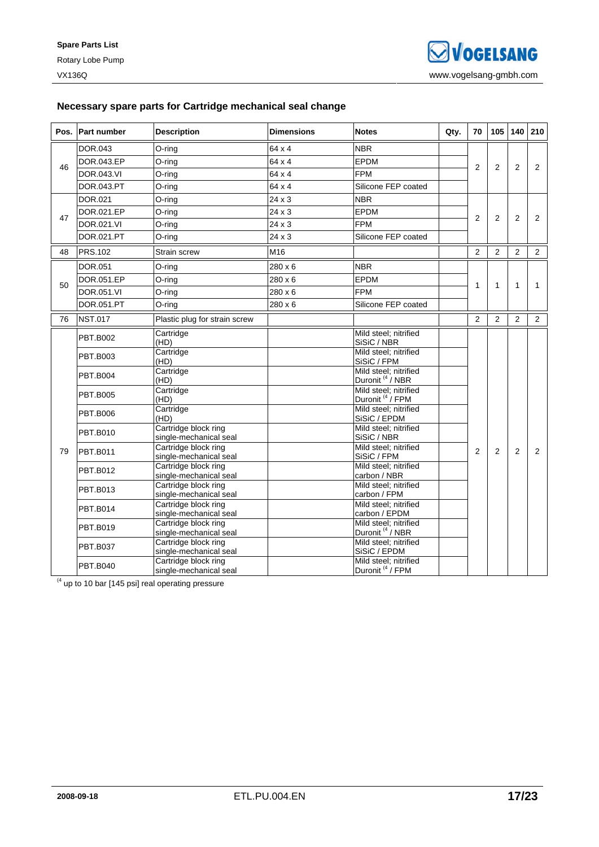### **Necessary spare parts for Cartridge mechanical seal change**

|    | Pos. Part number  | <b>Description</b>                             | <b>Dimensions</b> | <b>Notes</b>                                         | Qty. | 70             | 105            | 140            | 210            |
|----|-------------------|------------------------------------------------|-------------------|------------------------------------------------------|------|----------------|----------------|----------------|----------------|
|    | DOR.043           | O-ring                                         | 64 x 4            | <b>NBR</b>                                           |      |                |                |                |                |
|    | DOR.043.EP        | O-ring                                         | 64 x 4            | <b>EPDM</b>                                          |      |                |                |                |                |
| 46 | <b>DOR.043.VI</b> | O-ring                                         | 64 x 4            | <b>FPM</b>                                           |      | $\overline{2}$ | $\overline{2}$ | 2              | 2              |
|    | DOR.043.PT        | O-ring                                         | 64 x 4            | Silicone FEP coated                                  |      |                |                |                |                |
|    | DOR.021           | O-ring                                         | 24 x 3            | <b>NBR</b>                                           |      |                |                |                |                |
|    | DOR.021.EP        | O-ring                                         | $24 \times 3$     | <b>EPDM</b>                                          |      |                |                |                |                |
| 47 | DOR.021.VI        | O-ring                                         | $24 \times 3$     | <b>FPM</b>                                           |      | $\overline{2}$ | 2              | $\overline{2}$ | $\overline{2}$ |
|    | DOR.021.PT        | O-ring                                         | 24 x 3            | Silicone FEP coated                                  |      |                |                |                |                |
| 48 | <b>PRS.102</b>    | Strain screw                                   | M16               |                                                      |      | $\overline{2}$ | $\overline{2}$ | $\overline{2}$ | 2              |
|    | DOR.051           | O-ring                                         | $280 \times 6$    | <b>NBR</b>                                           |      |                |                |                |                |
|    | DOR.051.EP        | O-ring                                         | 280 x 6           | <b>EPDM</b>                                          |      |                |                |                |                |
| 50 | DOR.051.VI        | O-ring                                         | 280 x 6           | <b>FPM</b>                                           |      | 1              | 1              | 1              | 1              |
|    | DOR.051.PT        | O-ring                                         | 280 x 6           | Silicone FEP coated                                  |      |                |                |                |                |
| 76 | <b>NST.017</b>    | Plastic plug for strain screw                  |                   |                                                      |      | $\overline{2}$ | 2              | 2              | 2              |
|    |                   | Cartridge                                      |                   | Mild steel; nitrified                                |      |                |                |                |                |
|    | <b>PBT.B002</b>   | (HD)                                           |                   | SiSiC / NBR                                          |      |                |                |                |                |
|    | <b>PBT.B003</b>   | Cartridge<br>(HD)                              |                   | Mild steel; nitrified<br>SiSiC / FPM                 |      |                |                |                |                |
|    |                   | Cartridge                                      |                   | Mild steel; nitrified                                |      |                |                |                |                |
|    | <b>PBT.B004</b>   | (HD)                                           |                   | Duronit <sup>(4)</sup> NBR                           |      |                |                |                |                |
|    | <b>PBT.B005</b>   | Cartridge<br>(HD)                              |                   | Mild steel; nitrified<br>Duronit <sup>(4</sup> /FPM  |      |                |                |                |                |
|    |                   | Cartridge                                      |                   | Mild steel; nitrified                                |      |                |                |                |                |
|    | <b>PBT.B006</b>   | (HD)                                           |                   | SiSiC / EPDM                                         |      |                |                |                |                |
|    | <b>PBT.B010</b>   | Cartridge block ring                           |                   | Mild steel; nitrified                                |      |                |                |                |                |
|    |                   | single-mechanical seal<br>Cartridge block ring |                   | SiSiC / NBR<br>Mild steel; nitrified                 |      |                |                |                |                |
| 79 | <b>PBT.B011</b>   | single-mechanical seal                         |                   | SiSiC / FPM                                          |      | $\overline{2}$ | 2              | $\overline{2}$ | $\overline{2}$ |
|    |                   | Cartridge block ring                           |                   | Mild steel; nitrified                                |      |                |                |                |                |
|    | <b>PBT.B012</b>   | single-mechanical seal                         |                   | carbon / NBR                                         |      |                |                |                |                |
|    | <b>PBT.B013</b>   | Cartridge block ring                           |                   | Mild steel; nitrified                                |      |                |                |                |                |
|    |                   | single-mechanical seal                         |                   | carbon / FPM                                         |      |                |                |                |                |
|    | <b>PBT.B014</b>   | Cartridge block ring                           |                   | Mild steel: nitrified                                |      |                |                |                |                |
|    |                   | single-mechanical seal                         |                   | carbon / EPDM                                        |      |                |                |                |                |
|    | <b>PBT.B019</b>   | Cartridge block ring                           |                   | Mild steel; nitrified                                |      |                |                |                |                |
|    |                   | single-mechanical seal<br>Cartridge block ring |                   | Duronit <sup>(4</sup> / NBR<br>Mild steel; nitrified |      |                |                |                |                |
|    | <b>PBT.B037</b>   | single-mechanical seal                         |                   | SiSiC / EPDM                                         |      |                |                |                |                |
|    |                   | Cartridge block ring                           |                   | Mild steel: nitrified                                |      |                |                |                |                |
|    | <b>PBT.B040</b>   | single-mechanical seal                         |                   | Duronit <sup>(4</sup> /FPM                           |      |                |                |                |                |

 $(4 \text{ up to 10 bar } [145 \text{ psi}] \text{ real operating pressure})$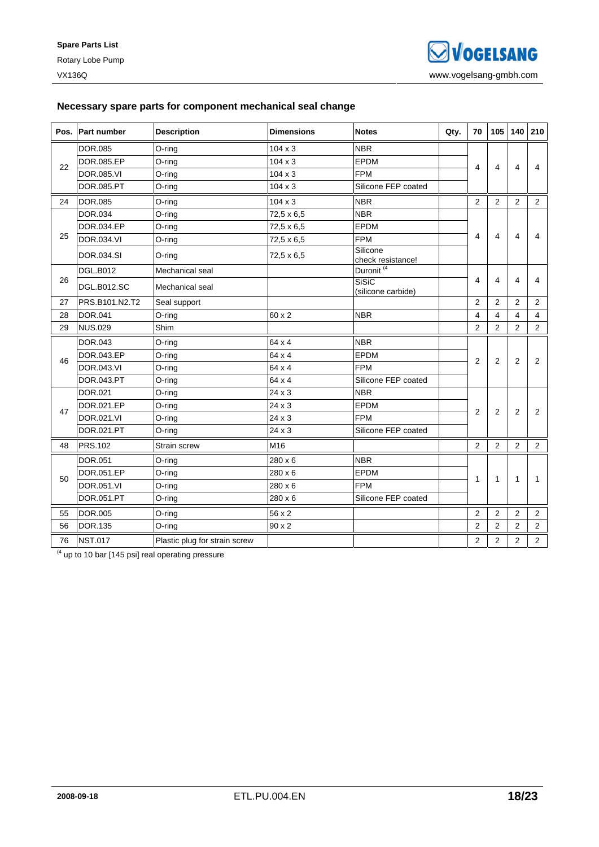### **Necessary spare parts for component mechanical seal change**

| Pos. | <b>Part number</b> | <b>Description</b>            | <b>Dimensions</b> | <b>Notes</b>                       | Qty. | 70             | 105                     | 140            | 210            |
|------|--------------------|-------------------------------|-------------------|------------------------------------|------|----------------|-------------------------|----------------|----------------|
|      | DOR.085            | O-ring                        | $104 \times 3$    | <b>NBR</b>                         |      |                |                         |                |                |
| 22   | DOR.085.EP         | O-ring                        | $104 \times 3$    | EPDM                               |      | 4              | $\overline{\mathbf{4}}$ | $\overline{4}$ | 4              |
|      | <b>DOR.085.VI</b>  | O-ring                        | $104 \times 3$    | <b>FPM</b>                         |      |                |                         |                |                |
|      | DOR.085.PT         | O-ring                        | $104 \times 3$    | Silicone FEP coated                |      |                |                         |                |                |
| 24   | <b>DOR.085</b>     | O-ring                        | $104 \times 3$    | <b>NBR</b>                         |      | 2              | 2                       | 2              | 2              |
|      | DOR.034            | O-ring                        | $72,5 \times 6,5$ | <b>NBR</b>                         |      |                |                         |                |                |
|      | DOR.034.EP         | O-ring                        | $72.5 \times 6.5$ | <b>EPDM</b>                        |      |                |                         |                |                |
| 25   | <b>DOR.034.VI</b>  | O-ring                        | $72.5 \times 6.5$ | <b>FPM</b>                         |      | 4              | $\overline{4}$          | 4              | 4              |
|      | DOR.034.SI         | O-ring                        | $72.5 \times 6.5$ | Silicone<br>check resistance!      |      |                |                         |                |                |
|      | <b>DGL.B012</b>    | Mechanical seal               |                   | Duronit <sup>(4)</sup>             |      |                |                         |                |                |
| 26   | <b>DGL.B012.SC</b> | Mechanical seal               |                   | <b>SiSiC</b><br>(silicone carbide) |      | 4              | 4                       | 4              | 4              |
| 27   | PRS.B101.N2.T2     | Seal support                  |                   |                                    |      | $\overline{2}$ | $\overline{2}$          | 2              | $\overline{2}$ |
| 28   | DOR.041            | O-ring                        | 60 x 2            | <b>NBR</b>                         |      | 4              | 4                       | $\overline{4}$ | 4              |
| 29   | <b>NUS.029</b>     | Shim                          |                   |                                    |      | 2              | 2                       | $\overline{2}$ | 2              |
|      | <b>DOR.043</b>     | O-ring                        | 64 x 4            | <b>NBR</b>                         |      |                |                         |                |                |
| 46   | DOR.043.EP         | O-ring                        | 64 x 4            | <b>EPDM</b>                        |      | 2              | $\overline{2}$          | 2              | 2              |
|      | DOR.043.VI         | O-ring                        | 64 x 4            | <b>FPM</b>                         |      |                |                         |                |                |
|      | DOR.043.PT         | O-ring                        | 64 x 4            | Silicone FEP coated                |      |                |                         |                |                |
|      | DOR.021            | O-ring                        | 24 x 3            | <b>NBR</b>                         |      |                |                         |                |                |
| 47   | DOR.021.EP         | O-ring                        | $24 \times 3$     | EPDM                               |      | $\overline{2}$ | $\overline{2}$          | $\overline{2}$ | 2              |
|      | DOR.021.VI         | O-ring                        | $24 \times 3$     | <b>FPM</b>                         |      |                |                         |                |                |
|      | DOR.021.PT         | O-ring                        | $24 \times 3$     | Silicone FEP coated                |      |                |                         |                |                |
| 48   | <b>PRS.102</b>     | Strain screw                  | M16               |                                    |      | $\overline{2}$ | $\overline{2}$          | $\overline{2}$ | 2              |
|      | <b>DOR.051</b>     | O-ring                        | $280 \times 6$    | <b>NBR</b>                         |      |                |                         |                |                |
| 50   | DOR.051.EP         | O-ring                        | $280 \times 6$    | <b>EPDM</b>                        |      | 1              | $\mathbf{1}$            | $\mathbf{1}$   | 1              |
|      | DOR.051.VI         | O-ring                        | $280 \times 6$    | <b>FPM</b>                         |      |                |                         |                |                |
|      | DOR.051.PT         | O-ring                        | 280 x 6           | Silicone FEP coated                |      |                |                         |                |                |
| 55   | <b>DOR.005</b>     | O-ring                        | 56 x 2            |                                    |      | $\overline{2}$ | 2                       | $\overline{2}$ | 2              |
| 56   | DOR.135            | O-ring                        | $90 \times 2$     |                                    |      | $\overline{2}$ | $\overline{2}$          | 2              | $\overline{2}$ |
| 76   | <b>NST.017</b>     | Plastic plug for strain screw |                   |                                    |      | $\overline{2}$ | $\overline{2}$          | $\overline{2}$ | $\overline{2}$ |

 $^{(4}$  up to 10 bar [145 psi] real operating pressure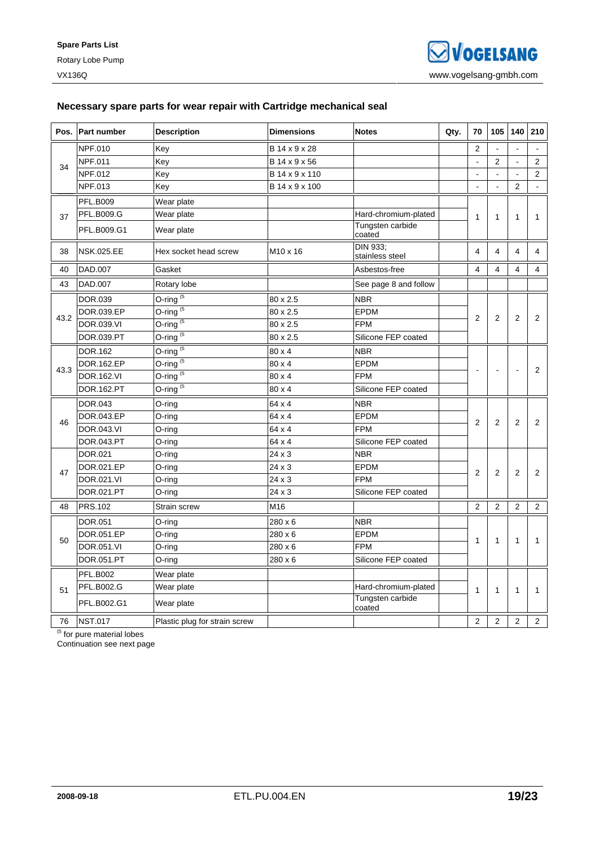### **Necessary spare parts for wear repair with Cartridge mechanical seal**

|      | Pos. Part number  | <b>Description</b>                    | <b>Dimensions</b>    | <b>Notes</b>                | Qty. | 70             | 105            | 140                      | 210            |
|------|-------------------|---------------------------------------|----------------------|-----------------------------|------|----------------|----------------|--------------------------|----------------|
|      | NPF.010           | Key                                   | B 14 x 9 x 28        |                             |      | $\overline{2}$ |                | $\overline{\phantom{a}}$ |                |
| 34   | NPF.011           | Key                                   | B 14 x 9 x 56        |                             |      | ÷,             | $\overline{2}$ |                          | 2              |
|      | NPF.012           | Key                                   | B 14 x 9 x 110       |                             |      | $\blacksquare$ | $\blacksquare$ | $\blacksquare$           | 2              |
|      | NPF.013           | Key                                   | B 14 x 9 x 100       |                             |      | $\overline{a}$ | $\overline{a}$ | $\overline{2}$           | $\mathbf{r}$   |
|      | <b>PFL.B009</b>   | Wear plate                            |                      |                             |      |                |                |                          |                |
| 37   | <b>PFL.B009.G</b> | Wear plate                            |                      | Hard-chromium-plated        |      | $\mathbf{1}$   | $\mathbf{1}$   | $\mathbf{1}$             | 1              |
|      | PFL.B009.G1       | Wear plate                            |                      | Tungsten carbide<br>coated  |      |                |                |                          |                |
| 38   | <b>NSK.025.EE</b> | Hex socket head screw                 | M <sub>10</sub> x 16 | DIN 933;<br>stainless steel |      | 4              | $\overline{4}$ | $\overline{4}$           | 4              |
| 40   | DAD.007           | Gasket                                |                      | Asbestos-free               |      | $\overline{4}$ | 4              | 4                        | $\overline{4}$ |
| 43   | DAD.007           | Rotary lobe                           |                      | See page 8 and follow       |      |                |                |                          |                |
|      | DOR.039           | $O$ -ring <sup><math>(5)</math></sup> | 80 x 2.5             | <b>NBR</b>                  |      |                |                |                          |                |
| 43.2 | DOR.039.EP        | O-ring $(5)$                          | 80 x 2.5             | <b>EPDM</b>                 |      | $\overline{2}$ | $\overline{2}$ | $\overline{2}$           |                |
|      | DOR.039.VI        | O-ring $(5)$                          | 80 x 2.5             | <b>FPM</b>                  |      |                |                |                          | $\overline{2}$ |
|      | DOR.039.PT        | O-ring <sup><math>(5)</math></sup>    | 80 x 2.5             | Silicone FEP coated         |      |                |                |                          |                |
|      | DOR.162           | O-ring $(5)$                          | $80 \times 4$        | <b>NBR</b>                  |      |                |                |                          |                |
| 43.3 | DOR.162.EP        | O-ring $(5)$                          | 80 x 4               | <b>EPDM</b>                 |      | L,             |                |                          | 2              |
|      | DOR.162.VI        | $O$ -ring <sup>(5</sup>               | 80 x 4               | <b>FPM</b>                  |      |                |                |                          |                |
|      | DOR.162.PT        | $O\text{-ring}^{(5)}$                 | 80 x 4               | Silicone FEP coated         |      |                |                |                          |                |
|      | DOR.043           | O-ring                                | 64 x 4               | <b>NBR</b>                  |      |                |                |                          |                |
| 46   | DOR.043.EP        | O-ring                                | 64 x 4               | <b>EPDM</b>                 |      | $\overline{2}$ | $\overline{2}$ | $\overline{2}$           | $\overline{2}$ |
|      | DOR.043.VI        | O-ring                                | 64 x 4               | <b>FPM</b>                  |      |                |                |                          |                |
|      | DOR.043.PT        | O-ring                                | 64 x 4               | Silicone FEP coated         |      |                |                |                          |                |
|      | DOR.021           | O-ring                                | 24 x 3               | <b>NBR</b>                  |      |                |                |                          |                |
| 47   | DOR.021.EP        | O-ring                                | 24 x 3               | <b>EPDM</b>                 |      | $\overline{2}$ | $\overline{2}$ | $\overline{2}$           | $\overline{2}$ |
|      | DOR.021.VI        | O-ring                                | 24 x 3               | <b>FPM</b>                  |      |                |                |                          |                |
|      | DOR.021.PT        | O-ring                                | 24 x 3               | Silicone FEP coated         |      |                |                |                          |                |
| 48   | <b>PRS.102</b>    | Strain screw                          | M16                  |                             |      | $\overline{2}$ | $\overline{2}$ | $\overline{2}$           | $\overline{2}$ |
|      | DOR.051           | O-ring                                | 280 x 6              | <b>NBR</b>                  |      |                |                |                          |                |
| 50   | DOR.051.EP        | O-ring                                | 280 x 6              | <b>EPDM</b>                 |      | 1              | $\mathbf{1}$   | $\mathbf{1}$             | 1              |
|      | DOR.051.VI        | O-ring                                | 280 x 6              | <b>FPM</b>                  |      |                |                |                          |                |
|      | DOR.051.PT        | O-ring                                | 280 x 6              | Silicone FEP coated         |      |                |                |                          |                |
|      | <b>PFL.B002</b>   | Wear plate                            |                      |                             |      |                |                |                          |                |
| 51   | <b>PFL.B002.G</b> | Wear plate                            |                      | Hard-chromium-plated        |      | 1              | $\mathbf{1}$   | $\mathbf{1}$             | 1              |
|      | PFL.B002.G1       | Wear plate                            |                      | Tungsten carbide<br>coated  |      |                |                |                          |                |
| 76   | <b>NST.017</b>    | Plastic plug for strain screw         |                      |                             |      | $\overline{2}$ | $\overline{2}$ | $\overline{2}$           | 2              |

<sup>(5</sup> for pure material lobes

Continuation see next page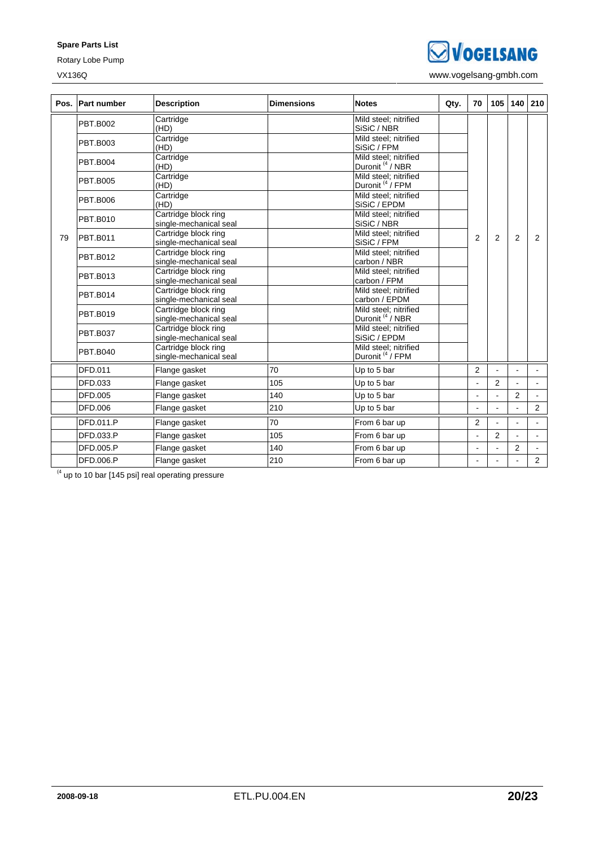**Spare Parts List** 

Rotary Lobe Pump

**SVOGELSANG** 

VX136Q www.vogelsang-gmbh.com

| Pos. | <b>Part number</b> | <b>Description</b>                             | <b>Dimensions</b> | <b>Notes</b>                                         | Qty. | 70             | 105            | 140            | 210            |
|------|--------------------|------------------------------------------------|-------------------|------------------------------------------------------|------|----------------|----------------|----------------|----------------|
|      | <b>PBT.B002</b>    | Cartridge<br>(HD)                              |                   | Mild steel; nitrified<br>SiSiC / NBR                 |      |                |                |                |                |
|      | <b>PBT.B003</b>    | Cartridge<br>(HD)                              |                   | Mild steel; nitrified<br>SiSiC / FPM                 |      |                |                |                |                |
|      | <b>PBT.B004</b>    | Cartridge<br>(HD)                              |                   | Mild steel: nitrified<br>Duronit <sup>(4</sup> / NBR |      |                |                |                |                |
|      | <b>PBT.B005</b>    | Cartridge<br>(HD)                              |                   | Mild steel: nitrified<br>Duronit <sup>(4</sup> / FPM |      |                |                |                |                |
|      | <b>PBT.B006</b>    | Cartridge<br>(HD)                              |                   | Mild steel; nitrified<br>SiSiC / EPDM                |      |                |                |                |                |
|      | <b>PBT.B010</b>    | Cartridge block ring<br>single-mechanical seal |                   | Mild steel: nitrified<br>SiSiC / NBR                 |      |                |                |                |                |
| 79   | PBT.B011           | Cartridge block ring<br>single-mechanical seal |                   | Mild steel: nitrified<br>SiSiC / FPM                 |      | $\overline{2}$ | $\overline{2}$ | $\overline{2}$ | 2              |
|      | <b>PBT.B012</b>    | Cartridge block ring<br>single-mechanical seal |                   | Mild steel: nitrified<br>carbon / NBR                |      |                |                |                |                |
|      | PBT.B013           | Cartridge block ring<br>single-mechanical seal |                   | Mild steel; nitrified<br>carbon / FPM                |      |                |                |                |                |
|      | <b>PBT.B014</b>    | Cartridge block ring<br>single-mechanical seal |                   | Mild steel; nitrified<br>carbon / EPDM               |      |                |                |                |                |
|      | <b>PBT.B019</b>    | Cartridge block ring<br>single-mechanical seal |                   | Mild steel; nitrified<br>Duronit <sup>(4</sup> / NBR |      |                |                |                |                |
|      | <b>PBT.B037</b>    | Cartridge block ring<br>single-mechanical seal |                   | Mild steel: nitrified<br>SiSiC / EPDM                |      |                |                |                |                |
|      | <b>PBT.B040</b>    | Cartridge block ring<br>single-mechanical seal |                   | Mild steel: nitrified<br>Duronit <sup>(4</sup> /FPM  |      |                |                |                |                |
|      | DFD.011            | Flange gasket                                  | 70                | Up to 5 bar                                          |      | $\overline{2}$ |                |                |                |
|      | DFD.033            | Flange gasket                                  | 105               | Up to 5 bar                                          |      |                | $\overline{2}$ |                |                |
|      | DFD.005            | Flange gasket                                  | 140               | Up to 5 bar                                          |      | $\overline{a}$ |                | $\overline{2}$ |                |
|      | DFD.006            | Flange gasket                                  | 210               | Up to 5 bar                                          |      |                |                |                | $\overline{2}$ |
|      | <b>DFD.011.P</b>   | Flange gasket                                  | 70                | From 6 bar up                                        |      | 2              |                |                |                |
|      | DFD.033.P          | Flange gasket                                  | 105               | From 6 bar up                                        |      |                | $\overline{2}$ |                |                |
|      | DFD.005.P          | Flange gasket                                  | 140               | From 6 bar up                                        |      |                |                | $\overline{2}$ |                |
|      | DFD.006.P          | Flange gasket                                  | 210               | From 6 bar up                                        |      |                |                |                | $\overline{2}$ |

 $(4 \text{ up to 10 bar } [145 \text{ psi}] \text{ real operating pressure})$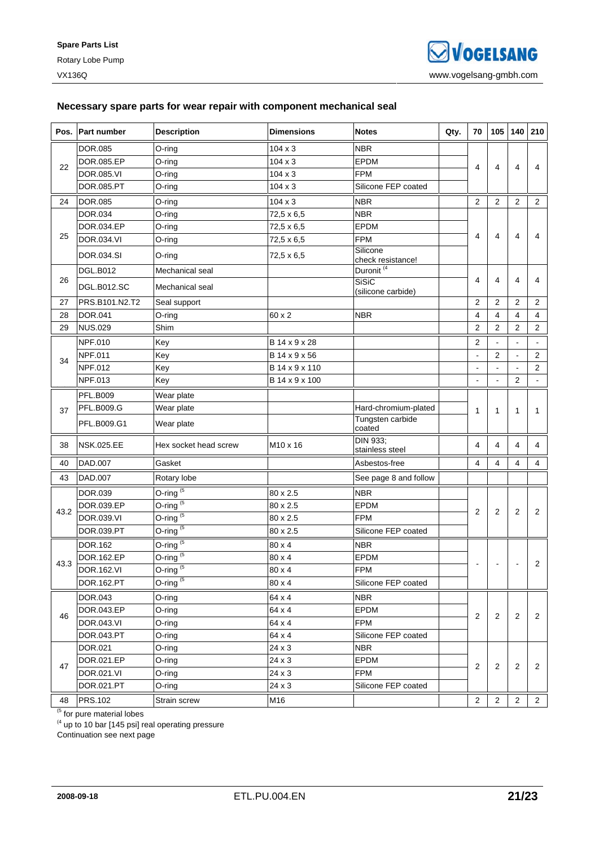### **Necessary spare parts for wear repair with component mechanical seal**

| Pos. | <b>Part number</b> | <b>Description</b>                    | <b>Dimensions</b> | <b>Notes</b>                       | Qty. | 70               | 105            | 140                     | 210            |
|------|--------------------|---------------------------------------|-------------------|------------------------------------|------|------------------|----------------|-------------------------|----------------|
|      | <b>DOR.085</b>     | O-ring                                | $104 \times 3$    | <b>NBR</b>                         |      |                  |                |                         |                |
|      | DOR.085.EP         | O-ring                                | $104 \times 3$    | <b>EPDM</b>                        |      |                  |                | 4                       |                |
| 22   | DOR.085.VI         | O-ring                                | $104 \times 3$    | <b>FPM</b>                         |      | 4                | 4              |                         | 4              |
|      | DOR.085.PT         | O-ring                                | $104 \times 3$    | Silicone FEP coated                |      |                  |                |                         |                |
| 24   | <b>DOR.085</b>     | O-ring                                | $104 \times 3$    | <b>NBR</b>                         |      | $\overline{2}$   | $\overline{2}$ | 2                       | 2              |
|      | DOR.034            | O-ring                                | 72,5 x 6,5        | <b>NBR</b>                         |      |                  |                |                         |                |
|      | DOR.034.EP         | O-ring                                | 72,5 x 6,5        | EPDM                               |      |                  |                |                         |                |
| 25   | DOR.034.VI         | O-ring                                | 72,5 x 6,5        | <b>FPM</b>                         |      | 4                | 4              | 4                       | 4              |
|      | DOR.034.SI         | O-ring                                | $72.5 \times 6.5$ | Silicone<br>check resistance!      |      |                  |                |                         |                |
|      | <b>DGL.B012</b>    | Mechanical seal                       |                   | Duronit <sup>(4</sup>              |      |                  |                |                         |                |
| 26   | <b>DGL.B012.SC</b> | Mechanical seal                       |                   | <b>SiSiC</b><br>(silicone carbide) |      | $\overline{4}$   | 4              | $\overline{4}$          | 4              |
| 27   | PRS.B101.N2.T2     | Seal support                          |                   |                                    |      | $\overline{2}$   | 2              | 2                       | 2              |
| 28   | DOR.041            | O-ring                                | 60 x 2            | <b>NBR</b>                         |      | 4                | 4              | $\overline{4}$          | $\overline{4}$ |
| 29   | <b>NUS.029</b>     | Shim                                  |                   |                                    |      | $\boldsymbol{2}$ | $\overline{2}$ | $\overline{2}$          | $\overline{2}$ |
|      | NPF.010            | Key                                   | B 14 x 9 x 28     |                                    |      | $\overline{2}$   |                | $\mathbb{Z}^2$          | $\blacksquare$ |
| 34   | NPF.011            | Key                                   | B 14 x 9 x 56     |                                    |      | $\blacksquare$   | 2              | $\blacksquare$          | 2              |
|      | NPF.012            | Key                                   | B 14 x 9 x 110    |                                    |      | $\overline{a}$   |                |                         | 2              |
|      | NPF.013            | Key                                   | B 14 x 9 x 100    |                                    |      | $\blacksquare$   |                | $\overline{2}$          |                |
|      | <b>PFL.B009</b>    | Wear plate                            |                   |                                    |      |                  |                |                         |                |
| 37   | <b>PFL.B009.G</b>  | Wear plate                            |                   | Hard-chromium-plated               |      | 1                | 1              | $\mathbf{1}$            | 1              |
|      | PFL.B009.G1        | Wear plate                            |                   | Tungsten carbide<br>coated         |      |                  |                |                         |                |
| 38   | <b>NSK.025.EE</b>  | Hex socket head screw                 | M10 x 16          | DIN 933;<br>stainless steel        |      | 4                | 4              | 4                       | 4              |
| 40   | DAD.007            | Gasket                                |                   | Asbestos-free                      |      | $\overline{4}$   | 4              | $\overline{\mathbf{4}}$ | 4              |
| 43   | DAD.007            | Rotary lobe                           |                   | See page 8 and follow              |      |                  |                |                         |                |
|      | DOR.039            | $O$ -ring <sup>(5</sup>               | 80 x 2.5          | <b>NBR</b>                         |      |                  |                |                         |                |
|      | DOR.039.EP         | $O$ -ring <sup><math>(5)</math></sup> | 80 x 2.5          | <b>EPDM</b>                        |      |                  |                |                         |                |
| 43.2 | DOR.039.VI         | $O$ -ring <sup><math>(5)</math></sup> | 80 x 2.5          | <b>FPM</b>                         |      | 2                | 2              | $\overline{2}$          | 2              |
|      | DOR.039.PT         | O-ring $(5)$                          | 80 x 2.5          | Silicone FEP coated                |      |                  |                |                         |                |
|      | DOR.162            | $O$ -ring <sup><math>(5)</math></sup> | 80 x 4            | <b>NBR</b>                         |      |                  |                |                         |                |
|      | DOR.162.EP         | $O$ -ring <sup><math>(5)</math></sup> | 80 x 4            | <b>EPDM</b>                        |      |                  |                |                         |                |
| 43.3 | DOR.162.VI         | $O$ -ring <sup>(5</sup>               | 80 x 4            | <b>FPM</b>                         |      |                  |                |                         | 2              |
|      | DOR.162.PT         | O-ring $(5)$                          | 80 x 4            | Silicone FEP coated                |      |                  |                |                         |                |
|      | DOR.043            | O-ring                                | 64 x 4            | <b>NBR</b>                         |      |                  |                |                         |                |
|      | DOR.043.EP         | O-ring                                | 64 x 4            | <b>EPDM</b>                        |      | 2                |                |                         |                |
| 46   | DOR.043.VI         | O-ring                                | 64 x 4            | <b>FPM</b>                         |      |                  | 2              | 2                       | 2              |
|      | DOR.043.PT         | O-ring                                | 64 x 4            | Silicone FEP coated                |      |                  |                |                         |                |
|      | DOR.021            | O-ring                                | 24 x 3            | <b>NBR</b>                         |      |                  |                |                         |                |
| 47   | DOR.021.EP         | O-ring                                | 24 x 3            | <b>EPDM</b>                        |      | 2                | 2              | $\overline{2}$          | 2              |
|      | DOR.021.VI         | O-ring                                | 24 x 3            | FPM                                |      |                  |                |                         |                |
|      | DOR.021.PT         | O-ring                                | 24 x 3            | Silicone FEP coated                |      |                  |                |                         |                |
| 48   | <b>PRS.102</b>     | Strain screw                          | M16               |                                    |      | $\overline{c}$   | $\overline{2}$ | $\overline{c}$          | $\overline{2}$ |

<sup>(5</sup> for pure material lobes

 $<sup>(4)</sup>$  up to 10 bar [145 psi] real operating pressure</sup>

Continuation see next page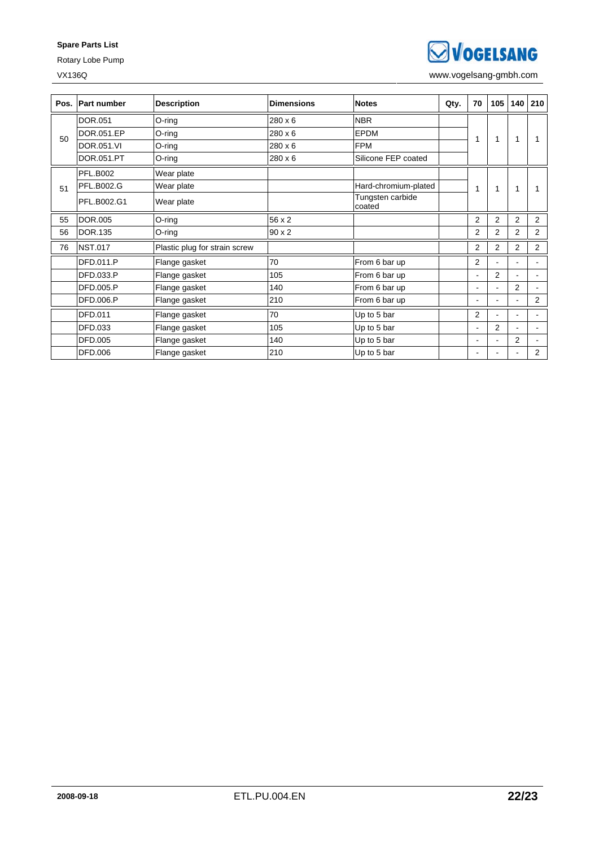### **Spare Parts List**

Rotary Lobe Pump

**SVOGELSANG** 

VX136Q www.vogelsang-gmbh.com

| Pos. | <b>Part number</b> | <b>Description</b>            | <b>Dimensions</b> | <b>Notes</b>               | Qty. | 70                       | 105            | 140            | 210                      |
|------|--------------------|-------------------------------|-------------------|----------------------------|------|--------------------------|----------------|----------------|--------------------------|
|      | DOR.051            | O-ring                        | $280 \times 6$    | <b>NBR</b>                 |      |                          |                |                |                          |
| 50   | DOR.051.EP         | $O$ -ring                     | 280 x 6           | <b>EPDM</b>                |      | 1                        | 1              | 1              |                          |
|      | DOR.051.VI         | O-ring                        | 280 x 6           | <b>FPM</b>                 |      |                          |                |                |                          |
|      | DOR.051.PT         | O-ring                        | 280 x 6           | Silicone FEP coated        |      |                          |                |                |                          |
|      | <b>PFL.B002</b>    | Wear plate                    |                   |                            |      |                          |                |                |                          |
| 51   | <b>PFL.B002.G</b>  | Wear plate                    |                   | Hard-chromium-plated       |      | 1                        | 1              | 1              |                          |
|      | PFL.B002.G1        | Wear plate                    |                   | Tungsten carbide<br>coated |      |                          |                |                |                          |
| 55   | <b>DOR.005</b>     | $O$ -ring                     | 56 x 2            |                            |      | 2                        | 2              | 2              | 2                        |
| 56   | <b>DOR.135</b>     | O-ring                        | $90 \times 2$     |                            |      | $\overline{2}$           | $\overline{2}$ | $\overline{2}$ | $\overline{2}$           |
| 76   | <b>NST.017</b>     | Plastic plug for strain screw |                   |                            |      | $\overline{2}$           | $\overline{2}$ | $\overline{2}$ | $\overline{2}$           |
|      | DFD.011.P          | Flange gasket                 | 70                | From 6 bar up              |      | $\overline{2}$           |                | ٠              | ٠                        |
|      | DFD.033.P          | Flange gasket                 | 105               | From 6 bar up              |      | $\blacksquare$           | 2              | ÷.             | $\blacksquare$           |
|      | DFD.005.P          | Flange gasket                 | 140               | From 6 bar up              |      | $\blacksquare$           | ٠              | $\overline{2}$ | $\blacksquare$           |
|      | <b>DFD.006.P</b>   | Flange gasket                 | 210               | From 6 bar up              |      | $\blacksquare$           | ٠              | ٠              | $\overline{2}$           |
|      | DFD.011            | Flange gasket                 | 70                | Up to 5 bar                |      | 2                        |                | ÷.             |                          |
|      | DFD.033            | Flange gasket                 | 105               | Up to 5 bar                |      | $\overline{\phantom{a}}$ | $\overline{2}$ | ٠              | $\overline{\phantom{0}}$ |
|      | <b>DFD.005</b>     | Flange gasket                 | 140               | Up to 5 bar                |      | $\blacksquare$           |                | 2              |                          |
|      | DFD.006            | Flange gasket                 | 210               | Up to 5 bar                |      | ٠                        | ۰              | ٠              | $\overline{2}$           |